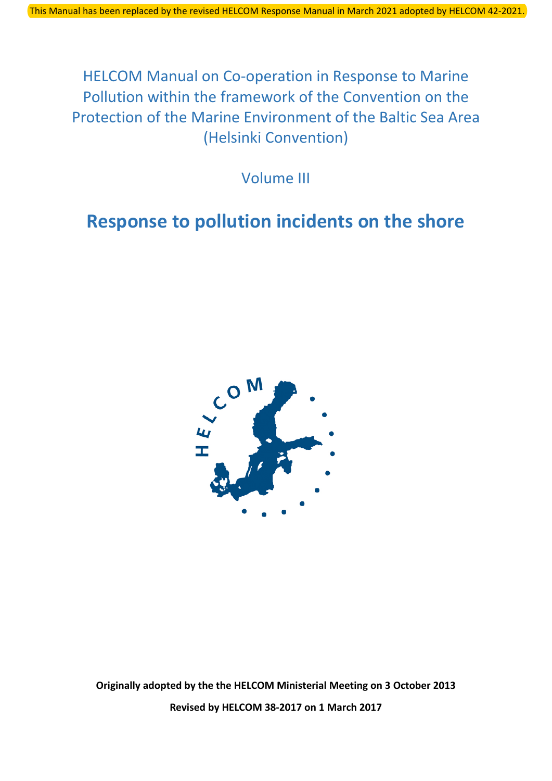HELCOM Manual on Co-operation in Response to Marine Pollution within the framework of the Convention on the Protection of the Marine Environment of the Baltic Sea Area (Helsinki Convention)

Volume III

# **Response to pollution incidents on the shore**



**Originally adopted by the the HELCOM Ministerial Meeting on 3 October 2013 Revised by HELCOM 38-2017 on 1 March 2017**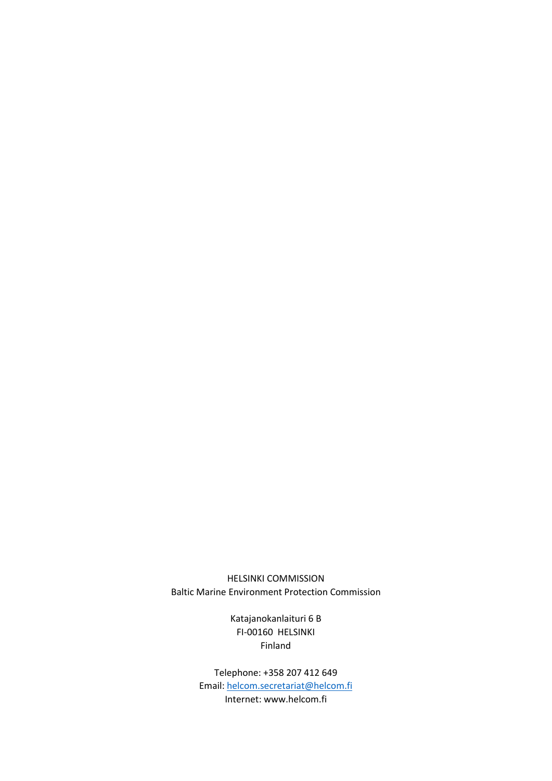HELSINKI COMMISSION Baltic Marine Environment Protection Commission

> Katajanokanlaituri 6 B FI-00160 HELSINKI Finland

Telephone: +358 207 412 649 Email: [helcom.secretariat@helcom.fi](mailto:helcom.secretariat@helcom.fi) Internet: www.helcom.fi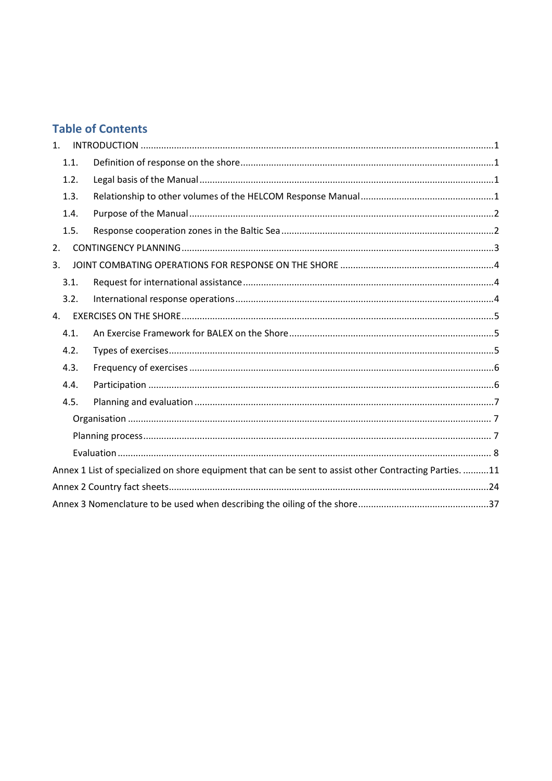# **Table of Contents**

| 1 <sup>1</sup> |      |                                                                                                         |  |
|----------------|------|---------------------------------------------------------------------------------------------------------|--|
|                | 1.1. |                                                                                                         |  |
|                | 1.2. |                                                                                                         |  |
|                | 1.3. |                                                                                                         |  |
|                | 1.4. |                                                                                                         |  |
|                | 1.5. |                                                                                                         |  |
| 2.             |      |                                                                                                         |  |
| 3.             |      |                                                                                                         |  |
|                | 3.1. |                                                                                                         |  |
|                | 3.2. |                                                                                                         |  |
| 4.             |      |                                                                                                         |  |
|                | 4.1. |                                                                                                         |  |
|                | 4.2. |                                                                                                         |  |
|                | 4.3. |                                                                                                         |  |
|                | 4.4. |                                                                                                         |  |
|                | 4.5. |                                                                                                         |  |
|                |      |                                                                                                         |  |
|                |      |                                                                                                         |  |
|                |      |                                                                                                         |  |
|                |      | Annex 1 List of specialized on shore equipment that can be sent to assist other Contracting Parties. 11 |  |
|                |      |                                                                                                         |  |
|                |      |                                                                                                         |  |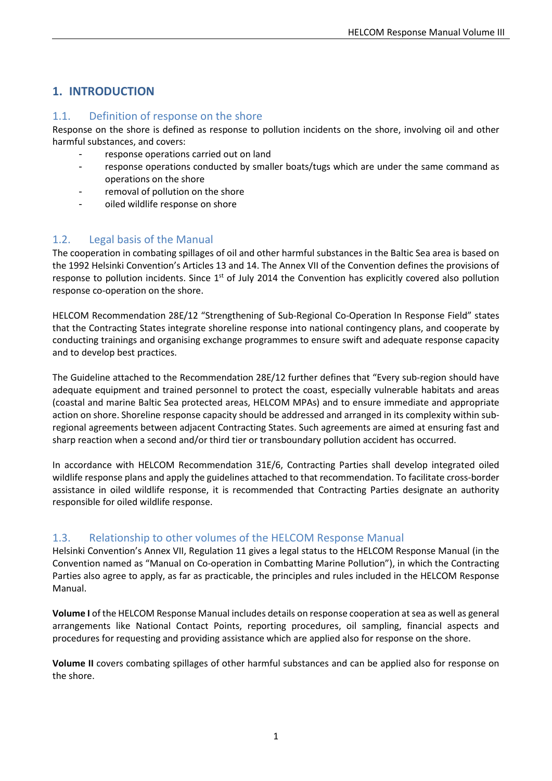# <span id="page-3-0"></span>**1. INTRODUCTION**

### <span id="page-3-1"></span>1.1. Definition of response on the shore

Response on the shore is defined as response to pollution incidents on the shore, involving oil and other harmful substances, and covers:

- response operations carried out on land
- response operations conducted by smaller boats/tugs which are under the same command as operations on the shore
- removal of pollution on the shore
- oiled wildlife response on shore

### <span id="page-3-2"></span>1.2. Legal basis of the Manual

The cooperation in combating spillages of oil and other harmful substances in the Baltic Sea area is based on the 1992 Helsinki Convention's Articles 13 and 14. The Annex VII of the Convention defines the provisions of response to pollution incidents. Since 1<sup>st</sup> of July 2014 the Convention has explicitly covered also pollution response co-operation on the shore.

HELCOM Recommendation 28E/12 "Strengthening of Sub-Regional Co-Operation In Response Field" states that the Contracting States integrate shoreline response into national contingency plans, and cooperate by conducting trainings and organising exchange programmes to ensure swift and adequate response capacity and to develop best practices.

The Guideline attached to the Recommendation 28E/12 further defines that "Every sub-region should have adequate equipment and trained personnel to protect the coast, especially vulnerable habitats and areas (coastal and marine Baltic Sea protected areas, HELCOM MPAs) and to ensure immediate and appropriate action on shore. Shoreline response capacity should be addressed and arranged in its complexity within subregional agreements between adjacent Contracting States. Such agreements are aimed at ensuring fast and sharp reaction when a second and/or third tier or transboundary pollution accident has occurred.

In accordance with HELCOM Recommendation 31E/6, Contracting Parties shall develop integrated oiled wildlife response plans and apply the guidelines attached to that recommendation. To facilitate cross-border assistance in oiled wildlife response, it is recommended that Contracting Parties designate an authority responsible for oiled wildlife response.

### <span id="page-3-3"></span>1.3. Relationship to other volumes of the HELCOM Response Manual

Helsinki Convention's Annex VII, Regulation 11 gives a legal status to the HELCOM Response Manual (in the Convention named as "Manual on Co-operation in Combatting Marine Pollution"), in which the Contracting Parties also agree to apply, as far as practicable, the principles and rules included in the HELCOM Response Manual.

**Volume I** of the HELCOM Response Manual includes details on response cooperation at sea as well as general arrangements like National Contact Points, reporting procedures, oil sampling, financial aspects and procedures for requesting and providing assistance which are applied also for response on the shore.

**Volume II** covers combating spillages of other harmful substances and can be applied also for response on the shore.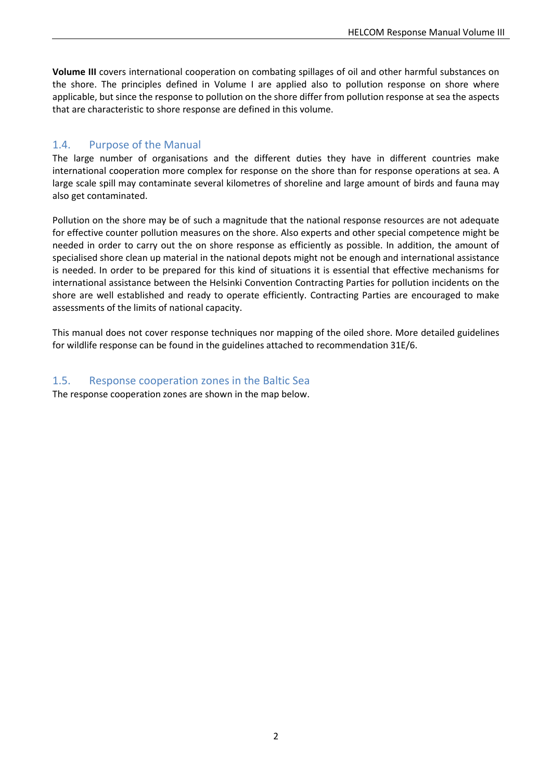**Volume III** covers international cooperation on combating spillages of oil and other harmful substances on the shore. The principles defined in Volume I are applied also to pollution response on shore where applicable, but since the response to pollution on the shore differ from pollution response at sea the aspects that are characteristic to shore response are defined in this volume.

### <span id="page-4-0"></span>1.4. Purpose of the Manual

The large number of organisations and the different duties they have in different countries make international cooperation more complex for response on the shore than for response operations at sea. A large scale spill may contaminate several kilometres of shoreline and large amount of birds and fauna may also get contaminated.

Pollution on the shore may be of such a magnitude that the national response resources are not adequate for effective counter pollution measures on the shore. Also experts and other special competence might be needed in order to carry out the on shore response as efficiently as possible. In addition, the amount of specialised shore clean up material in the national depots might not be enough and international assistance is needed. In order to be prepared for this kind of situations it is essential that effective mechanisms for international assistance between the Helsinki Convention Contracting Parties for pollution incidents on the shore are well established and ready to operate efficiently. Contracting Parties are encouraged to make assessments of the limits of national capacity.

This manual does not cover response techniques nor mapping of the oiled shore. More detailed guidelines for wildlife response can be found in the guidelines attached to recommendation 31E/6.

#### <span id="page-4-1"></span>1.5. Response cooperation zones in the Baltic Sea

The response cooperation zones are shown in the map below.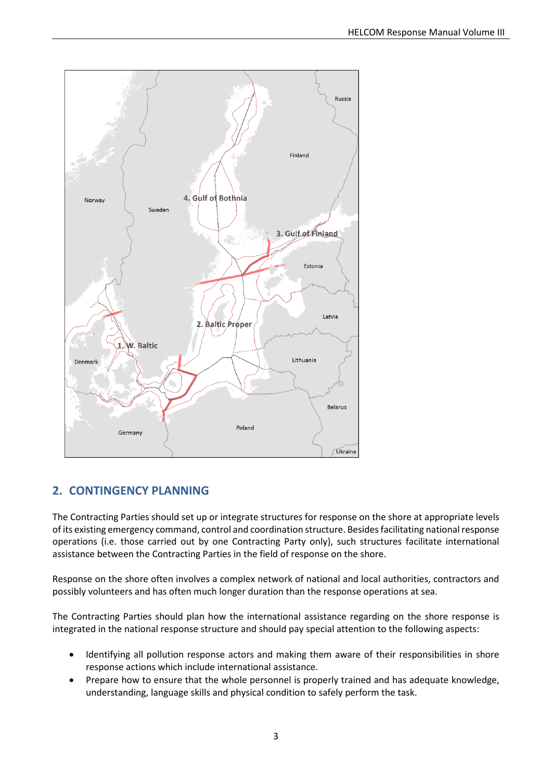

# <span id="page-5-0"></span>**2. CONTINGENCY PLANNING**

The Contracting Parties should set up or integrate structures for response on the shore at appropriate levels of its existing emergency command, control and coordination structure. Besides facilitating national response operations (i.e. those carried out by one Contracting Party only), such structures facilitate international assistance between the Contracting Parties in the field of response on the shore.

Response on the shore often involves a complex network of national and local authorities, contractors and possibly volunteers and has often much longer duration than the response operations at sea.

The Contracting Parties should plan how the international assistance regarding on the shore response is integrated in the national response structure and should pay special attention to the following aspects:

- Identifying all pollution response actors and making them aware of their responsibilities in shore response actions which include international assistance.
- Prepare how to ensure that the whole personnel is properly trained and has adequate knowledge, understanding, language skills and physical condition to safely perform the task.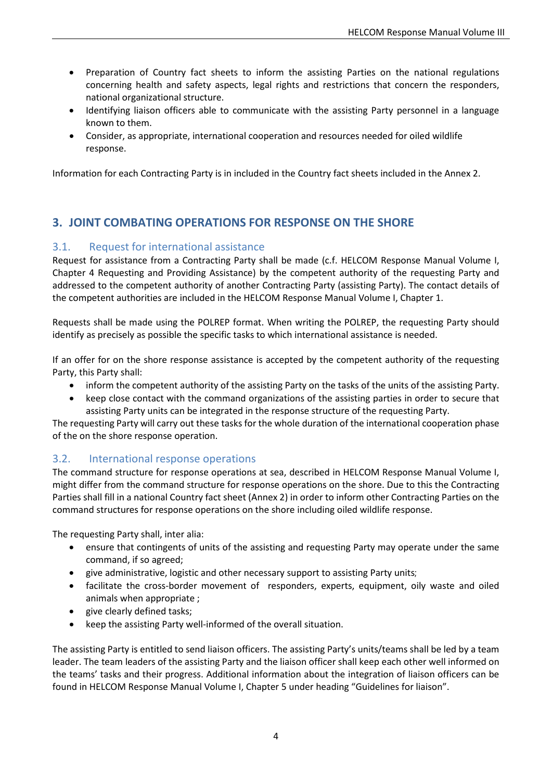- Preparation of Country fact sheets to inform the assisting Parties on the national regulations concerning health and safety aspects, legal rights and restrictions that concern the responders, national organizational structure.
- Identifying liaison officers able to communicate with the assisting Party personnel in a language known to them.
- Consider, as appropriate, international cooperation and resources needed for oiled wildlife response.

<span id="page-6-0"></span>Information for each Contracting Party is in included in the Country fact sheets included in the Annex 2.

# **3. JOINT COMBATING OPERATIONS FOR RESPONSE ON THE SHORE**

#### <span id="page-6-1"></span>3.1. Request for international assistance

Request for assistance from a Contracting Party shall be made (c.f. HELCOM Response Manual Volume I, Chapter 4 Requesting and Providing Assistance) by the competent authority of the requesting Party and addressed to the competent authority of another Contracting Party (assisting Party). The contact details of the competent authorities are included in the HELCOM Response Manual Volume I, Chapter 1.

Requests shall be made using the POLREP format. When writing the POLREP, the requesting Party should identify as precisely as possible the specific tasks to which international assistance is needed.

If an offer for on the shore response assistance is accepted by the competent authority of the requesting Party, this Party shall:

- inform the competent authority of the assisting Party on the tasks of the units of the assisting Party.
- keep close contact with the command organizations of the assisting parties in order to secure that assisting Party units can be integrated in the response structure of the requesting Party.

The requesting Party will carry out these tasks for the whole duration of the international cooperation phase of the on the shore response operation.

### <span id="page-6-2"></span>3.2. International response operations

The command structure for response operations at sea, described in HELCOM Response Manual Volume I, might differ from the command structure for response operations on the shore. Due to this the Contracting Parties shall fill in a national Country fact sheet (Annex 2) in order to inform other Contracting Parties on the command structures for response operations on the shore including oiled wildlife response.

The requesting Party shall, inter alia:

- ensure that contingents of units of the assisting and requesting Party may operate under the same command, if so agreed;
- give administrative, logistic and other necessary support to assisting Party units;
- facilitate the cross-border movement of responders, experts, equipment, oily waste and oiled animals when appropriate ;
- give clearly defined tasks;
- keep the assisting Party well-informed of the overall situation.

The assisting Party is entitled to send liaison officers. The assisting Party's units/teams shall be led by a team leader. The team leaders of the assisting Party and the liaison officer shall keep each other well informed on the teams' tasks and their progress. Additional information about the integration of liaison officers can be found in HELCOM Response Manual Volume I, Chapter 5 under heading "Guidelines for liaison".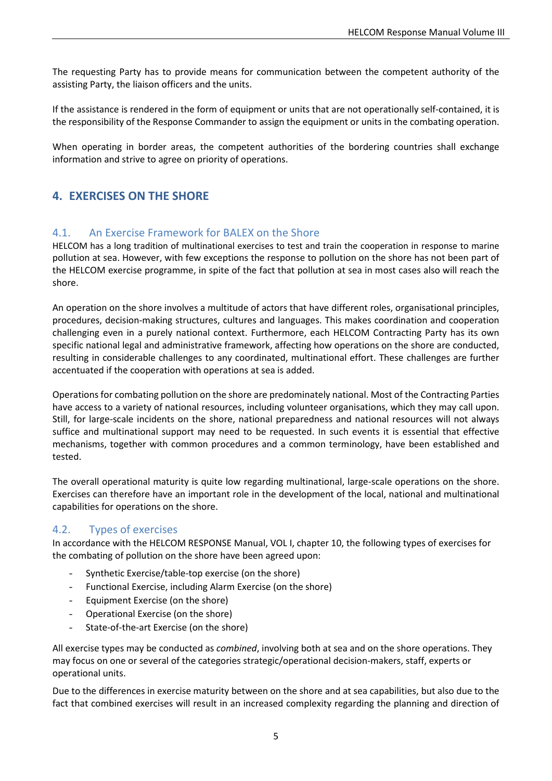The requesting Party has to provide means for communication between the competent authority of the assisting Party, the liaison officers and the units.

If the assistance is rendered in the form of equipment or units that are not operationally self-contained, it is the responsibility of the Response Commander to assign the equipment or units in the combating operation.

<span id="page-7-0"></span>When operating in border areas, the competent authorities of the bordering countries shall exchange information and strive to agree on priority of operations.

# **4. EXERCISES ON THE SHORE**

### <span id="page-7-1"></span>4.1. An Exercise Framework for BALEX on the Shore

HELCOM has a long tradition of multinational exercises to test and train the cooperation in response to marine pollution at sea. However, with few exceptions the response to pollution on the shore has not been part of the HELCOM exercise programme, in spite of the fact that pollution at sea in most cases also will reach the shore.

An operation on the shore involves a multitude of actors that have different roles, organisational principles, procedures, decision-making structures, cultures and languages. This makes coordination and cooperation challenging even in a purely national context. Furthermore, each HELCOM Contracting Party has its own specific national legal and administrative framework, affecting how operations on the shore are conducted, resulting in considerable challenges to any coordinated, multinational effort. These challenges are further accentuated if the cooperation with operations at sea is added.

Operations for combating pollution on the shore are predominately national. Most of the Contracting Parties have access to a variety of national resources, including volunteer organisations, which they may call upon. Still, for large-scale incidents on the shore, national preparedness and national resources will not always suffice and multinational support may need to be requested. In such events it is essential that effective mechanisms, together with common procedures and a common terminology, have been established and tested.

The overall operational maturity is quite low regarding multinational, large-scale operations on the shore. Exercises can therefore have an important role in the development of the local, national and multinational capabilities for operations on the shore.

### <span id="page-7-2"></span>4.2. Types of exercises

In accordance with the HELCOM RESPONSE Manual, VOL I, chapter 10, the following types of exercises for the combating of pollution on the shore have been agreed upon:

- Synthetic Exercise/table-top exercise (on the shore)
- Functional Exercise, including Alarm Exercise (on the shore)
- Equipment Exercise (on the shore)
- Operational Exercise (on the shore)
- State-of-the-art Exercise (on the shore)

All exercise types may be conducted as *combined*, involving both at sea and on the shore operations. They may focus on one or several of the categories strategic/operational decision-makers, staff, experts or operational units.

Due to the differences in exercise maturity between on the shore and at sea capabilities, but also due to the fact that combined exercises will result in an increased complexity regarding the planning and direction of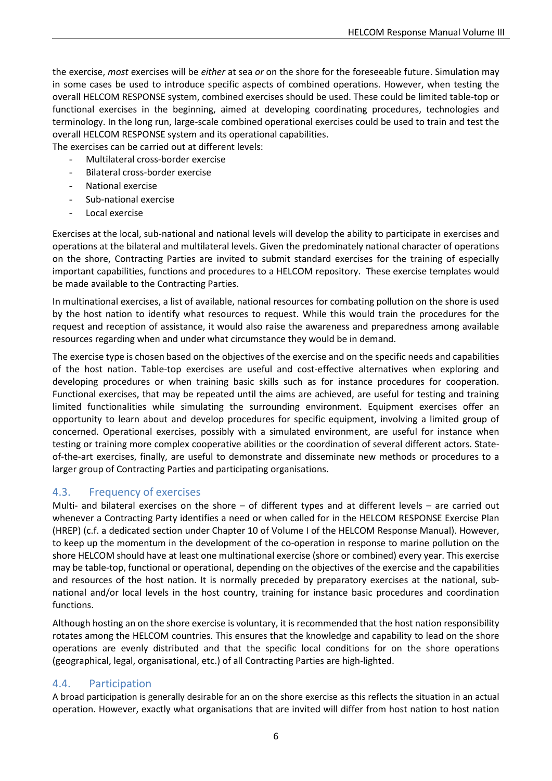the exercise, *most* exercises will be *either* at sea *or* on the shore for the foreseeable future. Simulation may in some cases be used to introduce specific aspects of combined operations. However, when testing the overall HELCOM RESPONSE system, combined exercises should be used. These could be limited table-top or functional exercises in the beginning, aimed at developing coordinating procedures, technologies and terminology. In the long run, large-scale combined operational exercises could be used to train and test the overall HELCOM RESPONSE system and its operational capabilities.

The exercises can be carried out at different levels:

- Multilateral cross-border exercise
- Bilateral cross-border exercise
- National exercise
- Sub-national exercise
- Local exercise

Exercises at the local, sub-national and national levels will develop the ability to participate in exercises and operations at the bilateral and multilateral levels. Given the predominately national character of operations on the shore, Contracting Parties are invited to submit standard exercises for the training of especially important capabilities, functions and procedures to a HELCOM repository. These exercise templates would be made available to the Contracting Parties.

In multinational exercises, a list of available, national resources for combating pollution on the shore is used by the host nation to identify what resources to request. While this would train the procedures for the request and reception of assistance, it would also raise the awareness and preparedness among available resources regarding when and under what circumstance they would be in demand.

The exercise type is chosen based on the objectives of the exercise and on the specific needs and capabilities of the host nation. Table-top exercises are useful and cost-effective alternatives when exploring and developing procedures or when training basic skills such as for instance procedures for cooperation. Functional exercises, that may be repeated until the aims are achieved, are useful for testing and training limited functionalities while simulating the surrounding environment. Equipment exercises offer an opportunity to learn about and develop procedures for specific equipment, involving a limited group of concerned. Operational exercises, possibly with a simulated environment, are useful for instance when testing or training more complex cooperative abilities or the coordination of several different actors. Stateof-the-art exercises, finally, are useful to demonstrate and disseminate new methods or procedures to a larger group of Contracting Parties and participating organisations.

### <span id="page-8-0"></span>4.3. Frequency of exercises

Multi- and bilateral exercises on the shore – of different types and at different levels – are carried out whenever a Contracting Party identifies a need or when called for in the HELCOM RESPONSE Exercise Plan (HREP) (c.f. a dedicated section under Chapter 10 of Volume I of the HELCOM Response Manual). However, to keep up the momentum in the development of the co-operation in response to marine pollution on the shore HELCOM should have at least one multinational exercise (shore or combined) every year. This exercise may be table-top, functional or operational, depending on the objectives of the exercise and the capabilities and resources of the host nation. It is normally preceded by preparatory exercises at the national, subnational and/or local levels in the host country, training for instance basic procedures and coordination functions.

Although hosting an on the shore exercise is voluntary, it is recommended that the host nation responsibility rotates among the HELCOM countries. This ensures that the knowledge and capability to lead on the shore operations are evenly distributed and that the specific local conditions for on the shore operations (geographical, legal, organisational, etc.) of all Contracting Parties are high-lighted.

### <span id="page-8-1"></span>4.4. Participation

A broad participation is generally desirable for an on the shore exercise as this reflects the situation in an actual operation. However, exactly what organisations that are invited will differ from host nation to host nation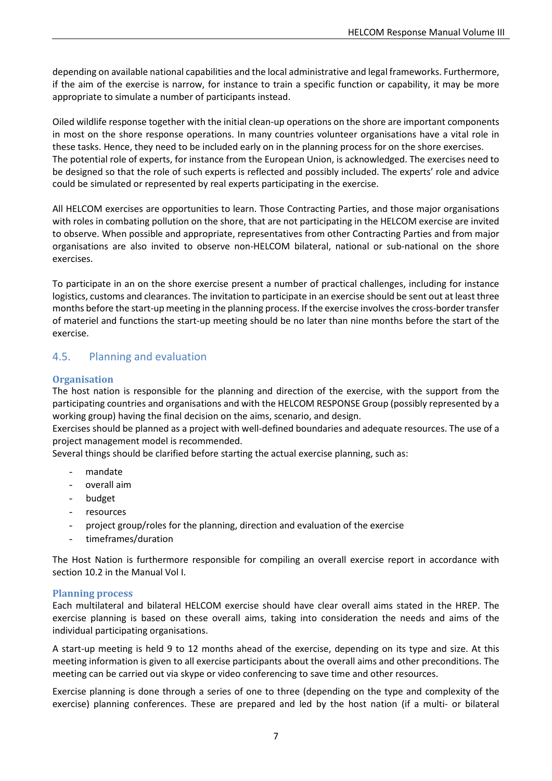depending on available national capabilities and the local administrative and legal frameworks. Furthermore, if the aim of the exercise is narrow, for instance to train a specific function or capability, it may be more appropriate to simulate a number of participants instead.

Oiled wildlife response together with the initial clean-up operations on the shore are important components in most on the shore response operations. In many countries volunteer organisations have a vital role in these tasks. Hence, they need to be included early on in the planning process for on the shore exercises. The potential role of experts, for instance from the European Union, is acknowledged. The exercises need to be designed so that the role of such experts is reflected and possibly included. The experts' role and advice could be simulated or represented by real experts participating in the exercise.

All HELCOM exercises are opportunities to learn. Those Contracting Parties, and those major organisations with roles in combating pollution on the shore, that are not participating in the HELCOM exercise are invited to observe. When possible and appropriate, representatives from other Contracting Parties and from major organisations are also invited to observe non-HELCOM bilateral, national or sub-national on the shore exercises.

To participate in an on the shore exercise present a number of practical challenges, including for instance logistics, customs and clearances. The invitation to participate in an exercise should be sent out at least three months before the start-up meeting in the planning process. If the exercise involves the cross-border transfer of materiel and functions the start-up meeting should be no later than nine months before the start of the exercise.

### <span id="page-9-0"></span>4.5. Planning and evaluation

#### <span id="page-9-1"></span>**Organisation**

The host nation is responsible for the planning and direction of the exercise, with the support from the participating countries and organisations and with the HELCOM RESPONSE Group (possibly represented by a working group) having the final decision on the aims, scenario, and design.

Exercises should be planned as a project with well-defined boundaries and adequate resources. The use of a project management model is recommended.

Several things should be clarified before starting the actual exercise planning, such as:

- mandate
- overall aim
- budget
- resources
- project group/roles for the planning, direction and evaluation of the exercise
- timeframes/duration

The Host Nation is furthermore responsible for compiling an overall exercise report in accordance with section 10.2 in the Manual Vol I.

#### <span id="page-9-2"></span>**Planning process**

Each multilateral and bilateral HELCOM exercise should have clear overall aims stated in the HREP. The exercise planning is based on these overall aims, taking into consideration the needs and aims of the individual participating organisations.

A start-up meeting is held 9 to 12 months ahead of the exercise, depending on its type and size. At this meeting information is given to all exercise participants about the overall aims and other preconditions. The meeting can be carried out via skype or video conferencing to save time and other resources.

Exercise planning is done through a series of one to three (depending on the type and complexity of the exercise) planning conferences. These are prepared and led by the host nation (if a multi- or bilateral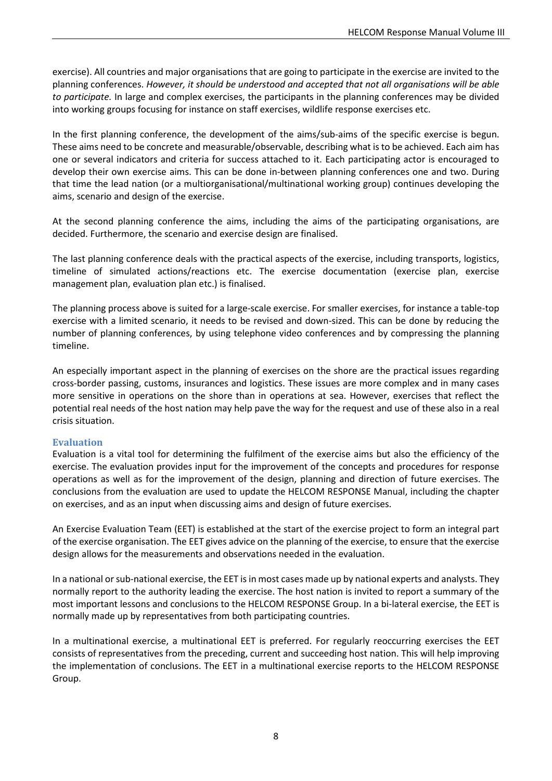exercise). All countries and major organisations that are going to participate in the exercise are invited to the planning conferences. *However, it should be understood and accepted that not all organisations will be able to participate.* In large and complex exercises, the participants in the planning conferences may be divided into working groups focusing for instance on staff exercises, wildlife response exercises etc.

In the first planning conference, the development of the aims/sub-aims of the specific exercise is begun. These aims need to be concrete and measurable/observable, describing what is to be achieved. Each aim has one or several indicators and criteria for success attached to it. Each participating actor is encouraged to develop their own exercise aims. This can be done in-between planning conferences one and two. During that time the lead nation (or a multiorganisational/multinational working group) continues developing the aims, scenario and design of the exercise.

At the second planning conference the aims, including the aims of the participating organisations, are decided. Furthermore, the scenario and exercise design are finalised.

The last planning conference deals with the practical aspects of the exercise, including transports, logistics, timeline of simulated actions/reactions etc. The exercise documentation (exercise plan, exercise management plan, evaluation plan etc.) is finalised.

The planning process above is suited for a large-scale exercise. For smaller exercises, for instance a table-top exercise with a limited scenario, it needs to be revised and down-sized. This can be done by reducing the number of planning conferences, by using telephone video conferences and by compressing the planning timeline.

An especially important aspect in the planning of exercises on the shore are the practical issues regarding cross-border passing, customs, insurances and logistics. These issues are more complex and in many cases more sensitive in operations on the shore than in operations at sea. However, exercises that reflect the potential real needs of the host nation may help pave the way for the request and use of these also in a real crisis situation.

#### <span id="page-10-0"></span>**Evaluation**

Evaluation is a vital tool for determining the fulfilment of the exercise aims but also the efficiency of the exercise. The evaluation provides input for the improvement of the concepts and procedures for response operations as well as for the improvement of the design, planning and direction of future exercises. The conclusions from the evaluation are used to update the HELCOM RESPONSE Manual, including the chapter on exercises, and as an input when discussing aims and design of future exercises.

An Exercise Evaluation Team (EET) is established at the start of the exercise project to form an integral part of the exercise organisation. The EET gives advice on the planning of the exercise, to ensure that the exercise design allows for the measurements and observations needed in the evaluation.

In a national or sub-national exercise, the EET is in most cases made up by national experts and analysts. They normally report to the authority leading the exercise. The host nation is invited to report a summary of the most important lessons and conclusions to the HELCOM RESPONSE Group. In a bi-lateral exercise, the EET is normally made up by representatives from both participating countries.

In a multinational exercise, a multinational EET is preferred. For regularly reoccurring exercises the EET consists of representatives from the preceding, current and succeeding host nation. This will help improving the implementation of conclusions. The EET in a multinational exercise reports to the HELCOM RESPONSE Group.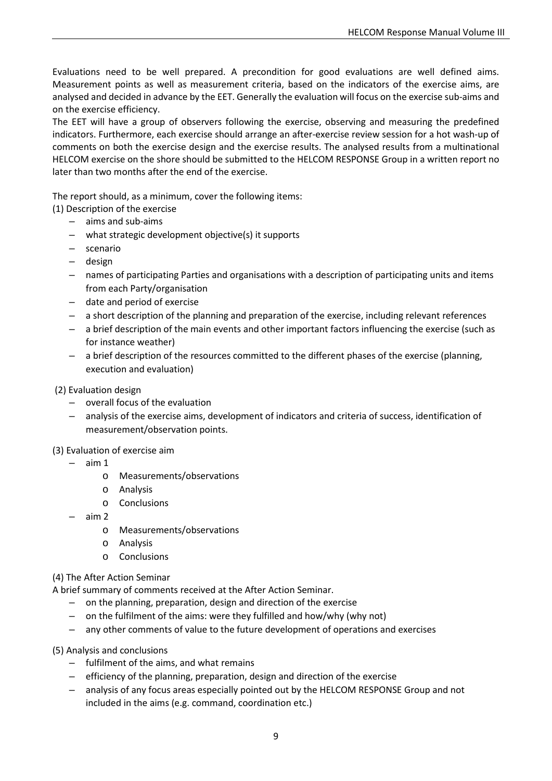Evaluations need to be well prepared. A precondition for good evaluations are well defined aims. Measurement points as well as measurement criteria, based on the indicators of the exercise aims, are analysed and decided in advance by the EET. Generally the evaluation will focus on the exercise sub-aims and on the exercise efficiency.

The EET will have a group of observers following the exercise, observing and measuring the predefined indicators. Furthermore, each exercise should arrange an after-exercise review session for a hot wash-up of comments on both the exercise design and the exercise results. The analysed results from a multinational HELCOM exercise on the shore should be submitted to the HELCOM RESPONSE Group in a written report no later than two months after the end of the exercise.

The report should, as a minimum, cover the following items:

- (1) Description of the exercise
	- aims and sub-aims
	- what strategic development objective(s) it supports
	- scenario
	- design
	- names of participating Parties and organisations with a description of participating units and items from each Party/organisation
	- date and period of exercise
	- a short description of the planning and preparation of the exercise, including relevant references
	- a brief description of the main events and other important factors influencing the exercise (such as for instance weather)
	- a brief description of the resources committed to the different phases of the exercise (planning, execution and evaluation)
- (2) Evaluation design
	- overall focus of the evaluation
	- analysis of the exercise aims, development of indicators and criteria of success, identification of measurement/observation points.

(3) Evaluation of exercise aim

- aim 1
	- o Measurements/observations
	- o Analysis
	- o Conclusions
- aim 2
	- o Measurements/observations
	- o Analysis
	- o Conclusions
- (4) The After Action Seminar

A brief summary of comments received at the After Action Seminar.

- on the planning, preparation, design and direction of the exercise
- on the fulfilment of the aims: were they fulfilled and how/why (why not)
- any other comments of value to the future development of operations and exercises
- (5) Analysis and conclusions
	- fulfilment of the aims, and what remains
	- efficiency of the planning, preparation, design and direction of the exercise
	- analysis of any focus areas especially pointed out by the HELCOM RESPONSE Group and not included in the aims (e.g. command, coordination etc.)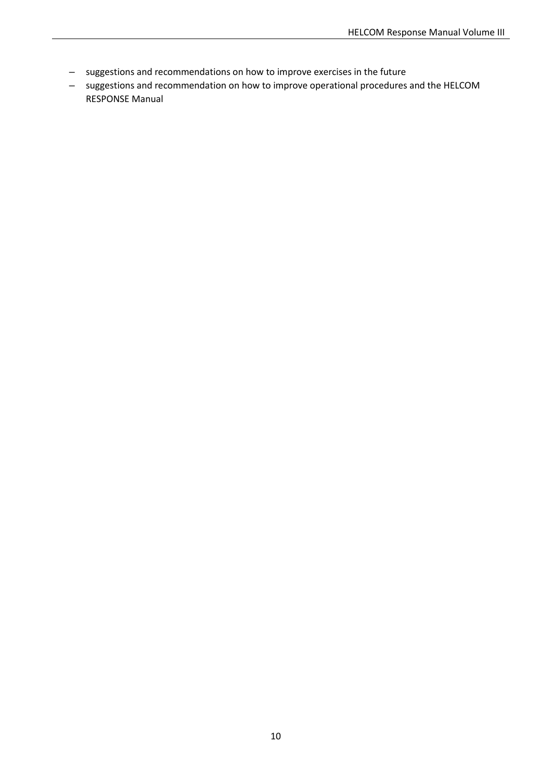- suggestions and recommendations on how to improve exercises in the future
- suggestions and recommendation on how to improve operational procedures and the HELCOM RESPONSE Manual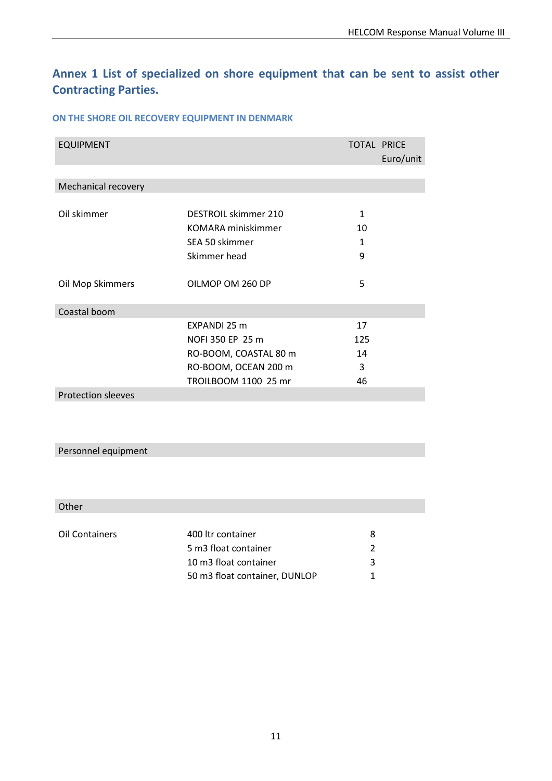# <span id="page-13-0"></span>**Annex 1 List of specialized on shore equipment that can be sent to assist other Contracting Parties.**

#### **ON THE SHORE OIL RECOVERY EQUIPMENT IN DENMARK**

| <b>EQUIPMENT</b>          |                       | <b>TOTAL PRICE</b> | Euro/unit |
|---------------------------|-----------------------|--------------------|-----------|
|                           |                       |                    |           |
| Mechanical recovery       |                       |                    |           |
|                           |                       |                    |           |
| Oil skimmer               | DESTROIL skimmer 210  | 1                  |           |
|                           | KOMARA miniskimmer    | 10                 |           |
|                           | SEA 50 skimmer        | 1                  |           |
|                           | Skimmer head          | 9                  |           |
|                           |                       |                    |           |
| Oil Mop Skimmers          | OILMOP OM 260 DP      | 5                  |           |
|                           |                       |                    |           |
| Coastal boom              |                       |                    |           |
|                           | EXPANDI 25 m          | 17                 |           |
|                           | NOFI 350 EP 25 m      | 125                |           |
|                           | RO-BOOM, COASTAL 80 m | 14                 |           |
|                           | RO-BOOM, OCEAN 200 m  | 3                  |           |
|                           | TROILBOOM 1100 25 mr  | 46                 |           |
| <b>Protection sleeves</b> |                       |                    |           |

### Personnel equipment

### Other

| Oil Containers | 400 ltr container             | x |
|----------------|-------------------------------|---|
|                | 5 m3 float container          |   |
|                | 10 m3 float container         | ર |
|                | 50 m3 float container, DUNLOP |   |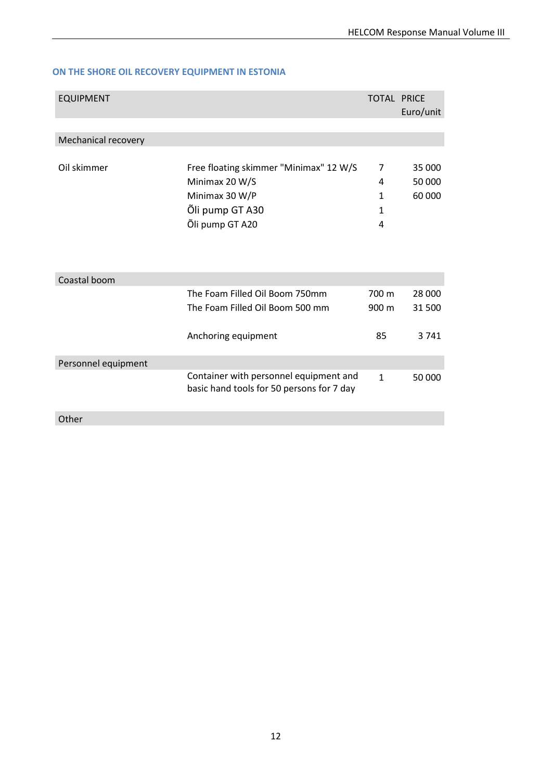### **ON THE SHORE OIL RECOVERY EQUIPMENT IN ESTONIA**

| <b>EQUIPMENT</b>    |                                                                                     | <b>TOTAL PRICE</b> | Euro/unit                  |
|---------------------|-------------------------------------------------------------------------------------|--------------------|----------------------------|
|                     |                                                                                     |                    |                            |
| Mechanical recovery |                                                                                     |                    |                            |
| Oil skimmer         | Free floating skimmer "Minimax" 12 W/S<br>Minimax 20 W/S<br>Minimax 30 W/P          | 7<br>4<br>1        | 35 000<br>50 000<br>60 000 |
|                     | Õli pump GT A30                                                                     | $\mathbf{1}$       |                            |
|                     | Õli pump GT A20                                                                     | 4                  |                            |
| Coastal boom        |                                                                                     |                    |                            |
|                     | The Foam Filled Oil Boom 750mm                                                      | 700 m              | 28 000                     |
|                     | The Foam Filled Oil Boom 500 mm                                                     | 900 m              | 31 500                     |
|                     | Anchoring equipment                                                                 | 85                 | 3 7 4 1                    |
| Personnel equipment |                                                                                     |                    |                            |
|                     | Container with personnel equipment and<br>basic hand tools for 50 persons for 7 day | $\mathbf{1}$       | 50 000                     |
| Other               |                                                                                     |                    |                            |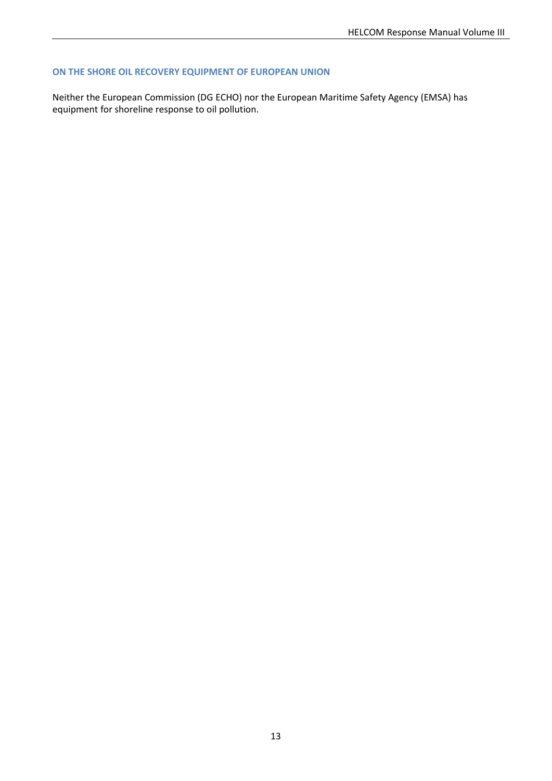#### **ON THE SHORE OIL RECOVERY EQUIPMENT OF EUROPEAN UNION**

Neither the European Commission (DG ECHO) nor the European Maritime Safety Agency (EMSA) has equipment for shoreline response to oil pollution.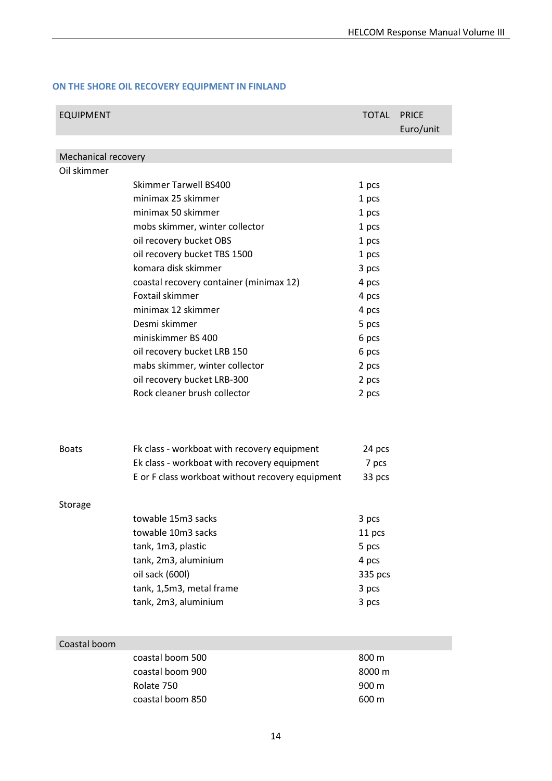#### **ON THE SHORE OIL RECOVERY EQUIPMENT IN FINLAND**

| <b>EQUIPMENT</b>                   |                                                  | <b>TOTAL</b> | <b>PRICE</b><br>Euro/unit |
|------------------------------------|--------------------------------------------------|--------------|---------------------------|
|                                    |                                                  |              |                           |
| Mechanical recovery<br>Oil skimmer |                                                  |              |                           |
|                                    | <b>Skimmer Tarwell BS400</b>                     | 1 pcs        |                           |
|                                    | minimax 25 skimmer                               | 1 pcs        |                           |
|                                    | minimax 50 skimmer                               | 1 pcs        |                           |
|                                    | mobs skimmer, winter collector                   | 1 pcs        |                           |
|                                    | oil recovery bucket OBS                          | 1 pcs        |                           |
|                                    | oil recovery bucket TBS 1500                     | 1 pcs        |                           |
|                                    | komara disk skimmer                              | 3 pcs        |                           |
|                                    | coastal recovery container (minimax 12)          | 4 pcs        |                           |
|                                    | Foxtail skimmer                                  | 4 pcs        |                           |
|                                    | minimax 12 skimmer                               | 4 pcs        |                           |
|                                    | Desmi skimmer                                    | 5 pcs        |                           |
|                                    | miniskimmer BS 400                               | 6 pcs        |                           |
|                                    | oil recovery bucket LRB 150                      | 6 pcs        |                           |
|                                    | mabs skimmer, winter collector                   | 2 pcs        |                           |
|                                    | oil recovery bucket LRB-300                      | 2 pcs        |                           |
|                                    | Rock cleaner brush collector                     | 2 pcs        |                           |
|                                    |                                                  |              |                           |
| <b>Boats</b>                       | Fk class - workboat with recovery equipment      | 24 pcs       |                           |
|                                    | Ek class - workboat with recovery equipment      | 7 pcs        |                           |
|                                    | E or F class workboat without recovery equipment | 33 pcs       |                           |
| Storage                            |                                                  |              |                           |
|                                    | towable 15m3 sacks                               | 3 pcs        |                           |
|                                    | towable 10m3 sacks                               | 11 pcs       |                           |
|                                    | tank, 1m3, plastic                               | 5 pcs        |                           |
|                                    | tank, 2m3, aluminium                             | 4 pcs        |                           |
|                                    | oil sack (600l)                                  | 335 pcs      |                           |
|                                    | tank, 1,5m3, metal frame                         | 3 pcs        |                           |
|                                    | tank, 2m3, aluminium                             | 3 pcs        |                           |
|                                    |                                                  |              |                           |
| Coastal boom                       |                                                  |              |                           |
|                                    | coastal boom 500                                 | 800 m        |                           |
|                                    | coastal boom 900                                 | 8000 m       |                           |
|                                    | Rolate 750                                       | 900 m        |                           |
|                                    | coastal boom 850                                 | 600 m        |                           |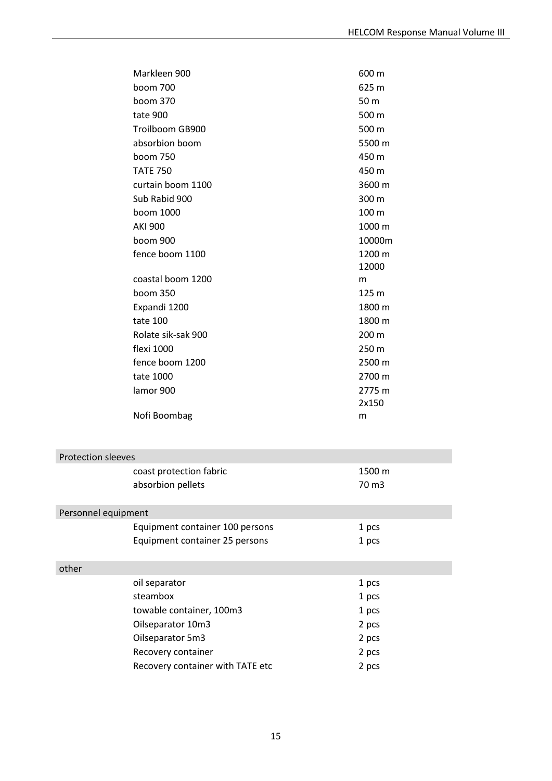| Markleen 900              |                                  | 600 m  |
|---------------------------|----------------------------------|--------|
| boom 700                  |                                  | 625 m  |
| boom 370                  |                                  | 50 m   |
| tate 900                  |                                  | 500 m  |
|                           | Troilboom GB900                  | 500 m  |
|                           | absorbion boom                   | 5500 m |
| boom 750                  |                                  | 450 m  |
| <b>TATE 750</b>           |                                  | 450 m  |
|                           | curtain boom 1100                | 3600 m |
|                           | Sub Rabid 900                    | 300 m  |
| boom 1000                 |                                  | 100 m  |
| <b>AKI 900</b>            |                                  | 1000 m |
| boom 900                  |                                  | 10000m |
|                           | fence boom 1100                  | 1200 m |
|                           |                                  | 12000  |
|                           | coastal boom 1200                | m      |
| boom 350                  |                                  | 125 m  |
| Expandi 1200              |                                  | 1800 m |
| tate 100                  |                                  | 1800 m |
|                           | Rolate sik-sak 900               | 200 m  |
| flexi 1000                |                                  | 250 m  |
|                           | fence boom 1200                  | 2500 m |
| tate 1000                 |                                  | 2700 m |
| lamor 900                 |                                  | 2775 m |
|                           |                                  | 2x150  |
|                           | Nofi Boombag                     | m      |
|                           |                                  |        |
| <b>Protection sleeves</b> |                                  |        |
|                           | coast protection fabric          | 1500 m |
|                           | absorbion pellets                | 70 m3  |
|                           |                                  |        |
| Personnel equipment       |                                  |        |
|                           | Equipment container 100 persons  | 1 pcs  |
|                           | Equipment container 25 persons   | 1 pcs  |
|                           |                                  |        |
| other                     |                                  |        |
| oil separator             |                                  | 1 pcs  |
| steambox                  |                                  | 1 pcs  |
|                           | towable container, 100m3         | 1 pcs  |
|                           | Oilseparator 10m3                | 2 pcs  |
|                           | Oilseparator 5m3                 | 2 pcs  |
|                           | Recovery container               | 2 pcs  |
|                           | Recovery container with TATE etc | 2 pcs  |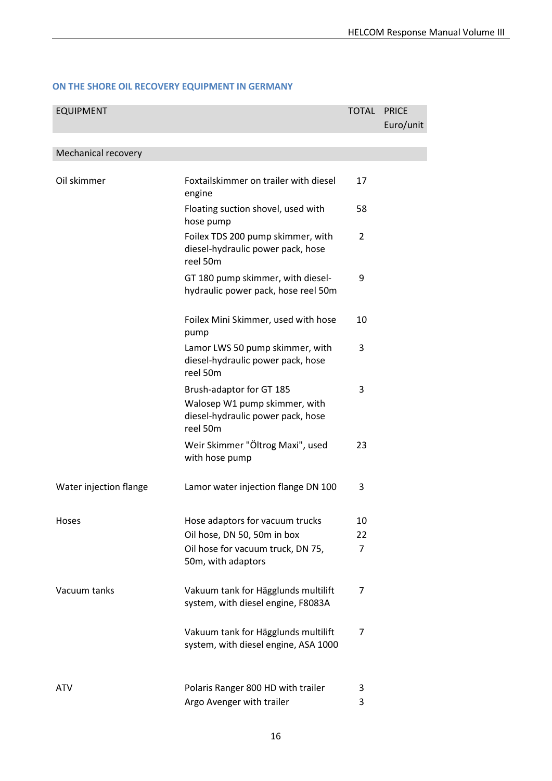### **ON THE SHORE OIL RECOVERY EQUIPMENT IN GERMANY**

| <b>EQUIPMENT</b>       |                                                                                                            | <b>TOTAL</b>   | <b>PRICE</b><br>Euro/unit |
|------------------------|------------------------------------------------------------------------------------------------------------|----------------|---------------------------|
| Mechanical recovery    |                                                                                                            |                |                           |
|                        |                                                                                                            |                |                           |
| Oil skimmer            | Foxtailskimmer on trailer with diesel<br>engine                                                            | 17             |                           |
|                        | Floating suction shovel, used with<br>hose pump                                                            | 58             |                           |
|                        | Foilex TDS 200 pump skimmer, with<br>diesel-hydraulic power pack, hose<br>reel 50m                         | 2              |                           |
|                        | GT 180 pump skimmer, with diesel-<br>hydraulic power pack, hose reel 50m                                   | 9              |                           |
|                        | Foilex Mini Skimmer, used with hose<br>pump                                                                | 10             |                           |
|                        | Lamor LWS 50 pump skimmer, with<br>diesel-hydraulic power pack, hose<br>reel 50m                           | 3              |                           |
|                        | Brush-adaptor for GT 185<br>Walosep W1 pump skimmer, with<br>diesel-hydraulic power pack, hose<br>reel 50m | 3              |                           |
|                        | Weir Skimmer "Öltrog Maxi", used<br>with hose pump                                                         | 23             |                           |
| Water injection flange | Lamor water injection flange DN 100                                                                        | 3              |                           |
| Hoses                  | Hose adaptors for vacuum trucks                                                                            | 10             |                           |
|                        | Oil hose, DN 50, 50m in box                                                                                | 22             |                           |
|                        | Oil hose for vacuum truck, DN 75,<br>50m, with adaptors                                                    | $\overline{7}$ |                           |
| Vacuum tanks           | Vakuum tank for Hägglunds multilift<br>system, with diesel engine, F8083A                                  | 7              |                           |
|                        | Vakuum tank for Hägglunds multilift<br>system, with diesel engine, ASA 1000                                | 7              |                           |
| ATV                    | Polaris Ranger 800 HD with trailer                                                                         | 3              |                           |
|                        | Argo Avenger with trailer                                                                                  | 3              |                           |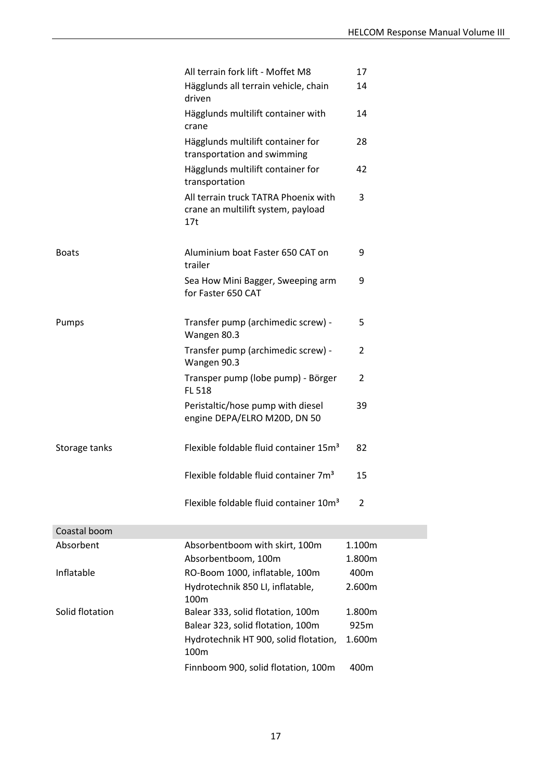|                 | All terrain fork lift - Moffet M8                                                 | 17             |
|-----------------|-----------------------------------------------------------------------------------|----------------|
|                 | Hägglunds all terrain vehicle, chain<br>driven                                    | 14             |
|                 | Hägglunds multilift container with<br>crane                                       | 14             |
|                 | Hägglunds multilift container for<br>transportation and swimming                  | 28             |
|                 | Hägglunds multilift container for<br>transportation                               | 42             |
|                 | All terrain truck TATRA Phoenix with<br>crane an multilift system, payload<br>17t | 3              |
| <b>Boats</b>    | Aluminium boat Faster 650 CAT on<br>trailer                                       | 9              |
|                 | Sea How Mini Bagger, Sweeping arm<br>for Faster 650 CAT                           | 9              |
| Pumps           | Transfer pump (archimedic screw) -<br>Wangen 80.3                                 | 5              |
|                 | Transfer pump (archimedic screw) -<br>Wangen 90.3                                 | $\overline{2}$ |
|                 | Transper pump (lobe pump) - Börger<br><b>FL 518</b>                               | 2              |
|                 | Peristaltic/hose pump with diesel<br>engine DEPA/ELRO M20D, DN 50                 | 39             |
| Storage tanks   | Flexible foldable fluid container 15m <sup>3</sup>                                | 82             |
|                 | Flexible foldable fluid container 7m <sup>3</sup>                                 | 15             |
|                 | Flexible foldable fluid container 10m <sup>3</sup>                                | $\overline{2}$ |
| Coastal boom    |                                                                                   |                |
| Absorbent       | Absorbentboom with skirt, 100m                                                    | 1.100m         |
|                 | Absorbentboom, 100m                                                               | 1.800m         |
| Inflatable      | RO-Boom 1000, inflatable, 100m                                                    | 400m           |
|                 | Hydrotechnik 850 LI, inflatable,<br>100m                                          | 2.600m         |
| Solid flotation | Balear 333, solid flotation, 100m                                                 | 1.800m         |
|                 | Balear 323, solid flotation, 100m                                                 | 925m           |
|                 | Hydrotechnik HT 900, solid flotation,<br>100m                                     | 1.600m         |

Finnboom 900, solid flotation, 100m 400m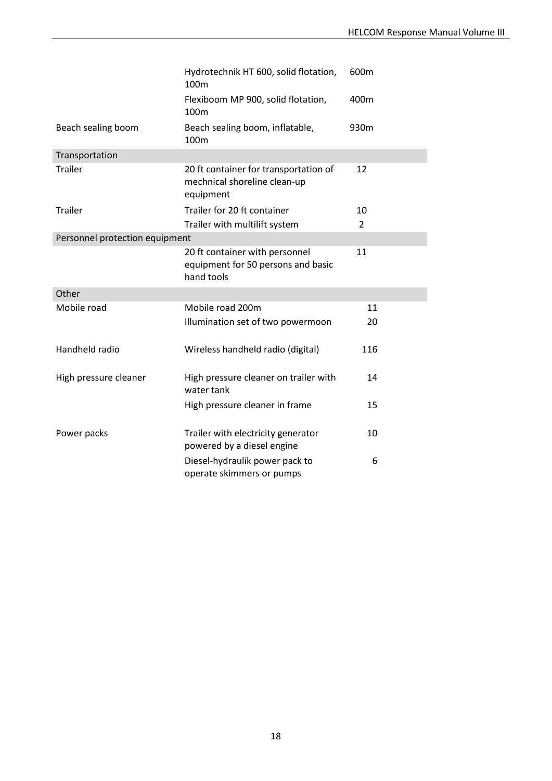|                                | Hydrotechnik HT 600, solid flotation,<br>100m                                      | 600m           |
|--------------------------------|------------------------------------------------------------------------------------|----------------|
|                                | Flexiboom MP 900, solid flotation,<br>100 <sub>m</sub>                             | 400m           |
| Beach sealing boom             | Beach sealing boom, inflatable,<br>100m                                            | 930m           |
| Transportation                 |                                                                                    |                |
| <b>Trailer</b>                 | 20 ft container for transportation of<br>mechnical shoreline clean-up<br>equipment | 12             |
| <b>Trailer</b>                 | Trailer for 20 ft container                                                        | 10             |
|                                | Trailer with multilift system                                                      | $\overline{2}$ |
| Personnel protection equipment |                                                                                    |                |
|                                | 20 ft container with personnel<br>equipment for 50 persons and basic<br>hand tools | 11             |
| Other                          |                                                                                    |                |
| Mobile road                    | Mobile road 200m                                                                   | 11             |
|                                | Illumination set of two powermoon                                                  | 20             |
| Handheld radio                 | Wireless handheld radio (digital)                                                  | 116            |
| High pressure cleaner          | High pressure cleaner on trailer with<br>water tank                                | 14             |
|                                | High pressure cleaner in frame                                                     | 15             |
| Power packs                    | Trailer with electricity generator<br>powered by a diesel engine                   | 10             |
|                                | Diesel-hydraulik power pack to<br>operate skimmers or pumps                        | 6              |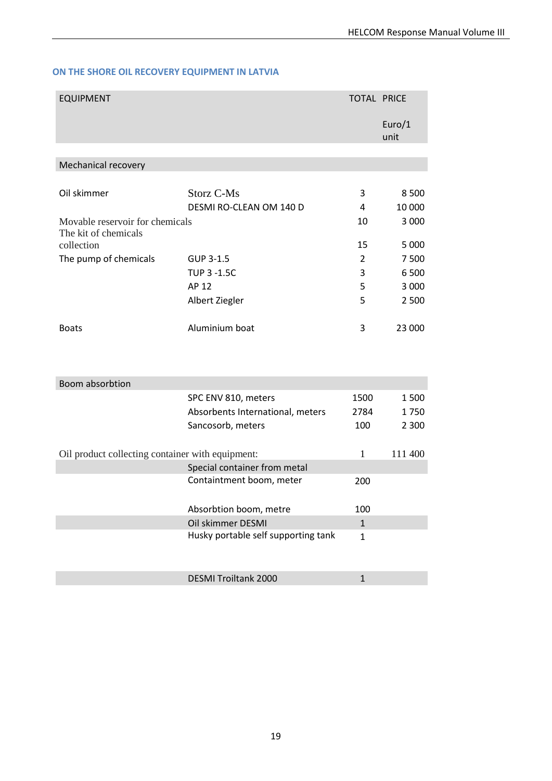### **ON THE SHORE OIL RECOVERY EQUIPMENT IN LATVIA**

| <b>EQUIPMENT</b>                                        |                                     | <b>TOTAL PRICE</b> |                |
|---------------------------------------------------------|-------------------------------------|--------------------|----------------|
|                                                         |                                     |                    | Euro/1<br>unit |
|                                                         |                                     |                    |                |
| Mechanical recovery                                     |                                     |                    |                |
|                                                         |                                     |                    |                |
| Oil skimmer                                             | <b>Storz C-Ms</b>                   | 3                  | 8 5 0 0        |
|                                                         | DESMI RO-CLEAN OM 140 D             | 4                  | 10 000         |
| Movable reservoir for chemicals<br>The kit of chemicals |                                     | 10                 | 3 0 0 0        |
| collection                                              |                                     | 15                 | 5 0 0 0        |
| The pump of chemicals                                   | GUP 3-1.5                           | $\overline{2}$     | 7500           |
|                                                         | <b>TUP 3 -1.5C</b>                  | 3                  | 6 500          |
|                                                         | AP 12                               | 5                  | 3 0 0 0        |
|                                                         | Albert Ziegler                      | 5                  | 2 500          |
| <b>Boats</b>                                            | Aluminium boat                      | 3                  | 23 000         |
|                                                         |                                     |                    |                |
| Boom absorbtion                                         |                                     |                    |                |
|                                                         | SPC ENV 810, meters                 | 1500               | 1500           |
|                                                         | Absorbents International, meters    | 2784               | 1750           |
|                                                         | Sancosorb, meters                   | 100                | 2 3 0 0        |
| Oil product collecting container with equipment:        |                                     | $\mathbf{1}$       | 111 400        |
|                                                         | Special container from metal        |                    |                |
|                                                         | Containtment boom, meter            | 200                |                |
|                                                         | Absorbtion boom, metre              | 100                |                |
|                                                         | Oil skimmer DESMI                   | $\mathbf{1}$       |                |
|                                                         | Husky portable self supporting tank | $\mathbf{1}$       |                |
|                                                         | <b>DESMI Troiltank 2000</b>         | $\mathbf{1}$       |                |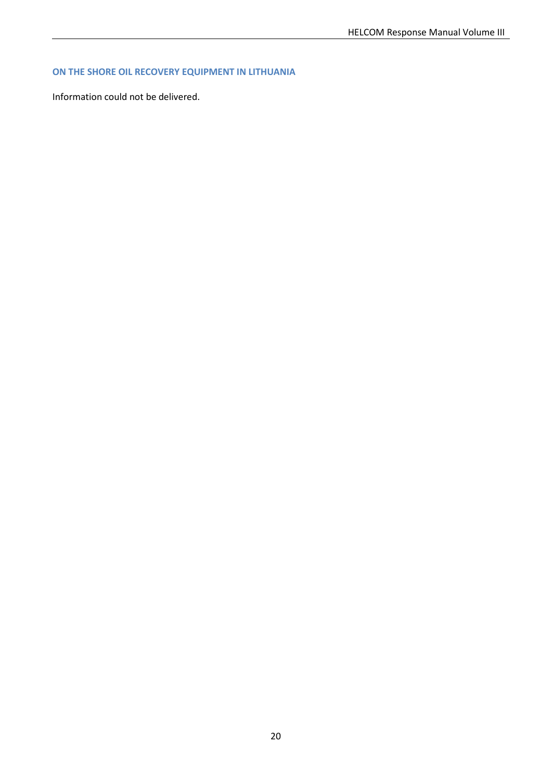### **ON THE SHORE OIL RECOVERY EQUIPMENT IN LITHUANIA**

Information could not be delivered.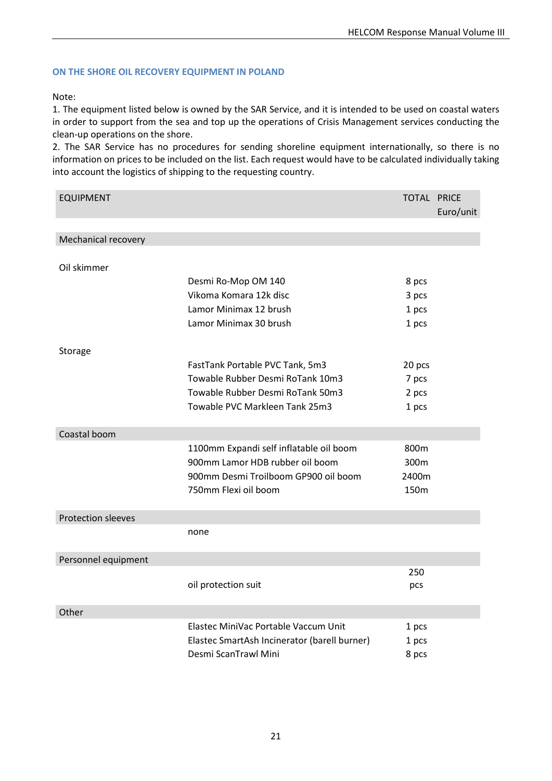#### **ON THE SHORE OIL RECOVERY EQUIPMENT IN POLAND**

#### Note:

1. The equipment listed below is owned by the SAR Service, and it is intended to be used on coastal waters in order to support from the sea and top up the operations of Crisis Management services conducting the clean-up operations on the shore.

2. The SAR Service has no procedures for sending shoreline equipment internationally, so there is no information on prices to be included on the list. Each request would have to be calculated individually taking into account the logistics of shipping to the requesting country.

| <b>EQUIPMENT</b>          |                                              | <b>TOTAL PRICE</b> |           |
|---------------------------|----------------------------------------------|--------------------|-----------|
|                           |                                              |                    | Euro/unit |
|                           |                                              |                    |           |
| Mechanical recovery       |                                              |                    |           |
| Oil skimmer               |                                              |                    |           |
|                           | Desmi Ro-Mop OM 140                          | 8 pcs              |           |
|                           | Vikoma Komara 12k disc                       | 3 pcs              |           |
|                           | Lamor Minimax 12 brush                       | 1 pcs              |           |
|                           | Lamor Minimax 30 brush                       | 1 pcs              |           |
|                           |                                              |                    |           |
| Storage                   |                                              |                    |           |
|                           | FastTank Portable PVC Tank, 5m3              | 20 pcs             |           |
|                           | Towable Rubber Desmi RoTank 10m3             | 7 pcs              |           |
|                           | Towable Rubber Desmi RoTank 50m3             | 2 pcs              |           |
|                           | Towable PVC Markleen Tank 25m3               | 1 pcs              |           |
|                           |                                              |                    |           |
| Coastal boom              |                                              |                    |           |
|                           | 1100mm Expandi self inflatable oil boom      | 800m               |           |
|                           | 900mm Lamor HDB rubber oil boom              | 300m               |           |
|                           | 900mm Desmi Troilboom GP900 oil boom         | 2400m              |           |
|                           | 750mm Flexi oil boom                         | 150m               |           |
|                           |                                              |                    |           |
| <b>Protection sleeves</b> |                                              |                    |           |
|                           | none                                         |                    |           |
|                           |                                              |                    |           |
| Personnel equipment       |                                              |                    |           |
|                           | oil protection suit                          | 250                |           |
|                           |                                              | pcs                |           |
| Other                     |                                              |                    |           |
|                           | Elastec MiniVac Portable Vaccum Unit         | 1 pcs              |           |
|                           | Elastec SmartAsh Incinerator (barell burner) | 1 pcs              |           |
|                           | Desmi ScanTrawl Mini                         | 8 pcs              |           |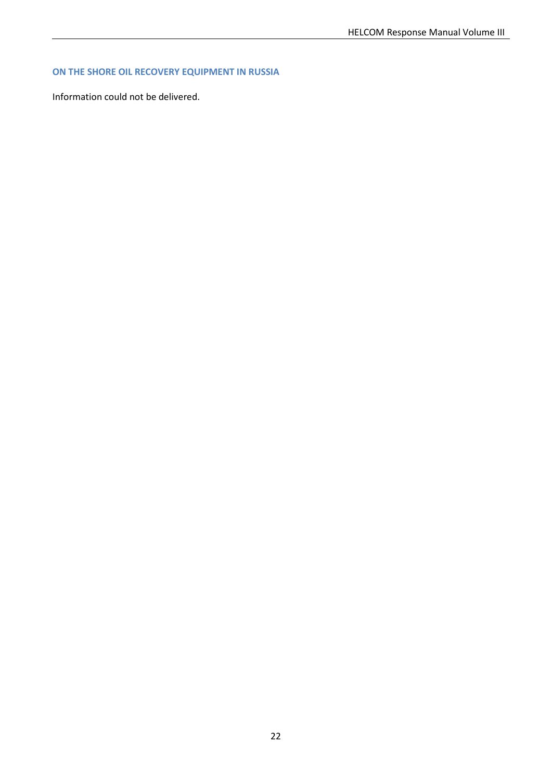### **ON THE SHORE OIL RECOVERY EQUIPMENT IN RUSSIA**

Information could not be delivered.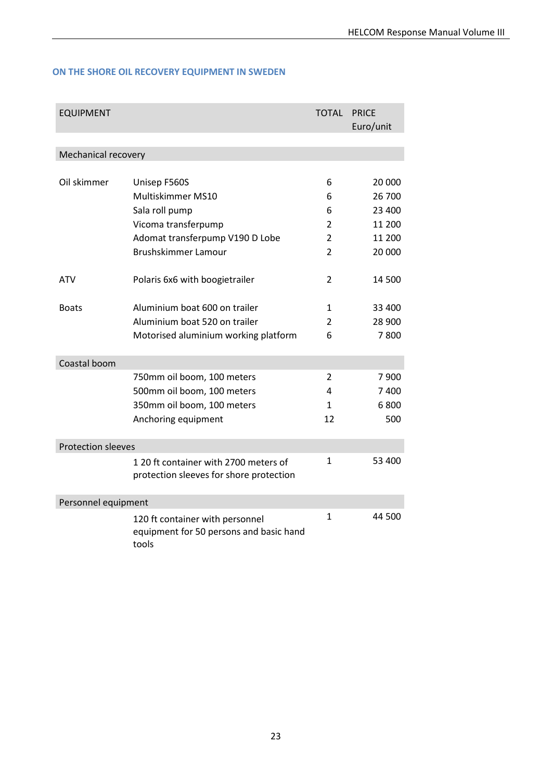### **ON THE SHORE OIL RECOVERY EQUIPMENT IN SWEDEN**

| <b>EQUIPMENT</b>          |                                                                                     | TOTAL          | <b>PRICE</b><br>Euro/unit |  |
|---------------------------|-------------------------------------------------------------------------------------|----------------|---------------------------|--|
|                           |                                                                                     |                |                           |  |
| Mechanical recovery       |                                                                                     |                |                           |  |
|                           |                                                                                     |                |                           |  |
| Oil skimmer               | Unisep F560S                                                                        | 6              | 20 000                    |  |
|                           | Multiskimmer MS10                                                                   | 6              | 26 700                    |  |
|                           | Sala roll pump                                                                      | 6              | 23 400                    |  |
|                           | Vicoma transferpump                                                                 | 2              | 11 200                    |  |
|                           | Adomat transferpump V190 D Lobe                                                     | $\overline{2}$ | 11 200                    |  |
|                           | <b>Brushskimmer Lamour</b>                                                          | 2              | 20 000                    |  |
| ATV                       | Polaris 6x6 with boogietrailer                                                      | $\overline{2}$ | 14 500                    |  |
| <b>Boats</b>              | Aluminium boat 600 on trailer                                                       | 1              | 33 400                    |  |
|                           | Aluminium boat 520 on trailer                                                       | 2              | 28 900                    |  |
|                           | Motorised aluminium working platform                                                | 6              | 7800                      |  |
| Coastal boom              |                                                                                     |                |                           |  |
|                           | 750mm oil boom, 100 meters                                                          | 2              | 7 900                     |  |
|                           | 500mm oil boom, 100 meters                                                          | 4              | 7400                      |  |
|                           | 350mm oil boom, 100 meters                                                          | 1              | 6800                      |  |
|                           | Anchoring equipment                                                                 | 12             | 500                       |  |
| <b>Protection sleeves</b> |                                                                                     |                |                           |  |
|                           | 1 20 ft container with 2700 meters of<br>protection sleeves for shore protection    | 1              | 53 400                    |  |
|                           | Personnel equipment                                                                 |                |                           |  |
|                           | 120 ft container with personnel<br>equipment for 50 persons and basic hand<br>tools | 1              | 44 500                    |  |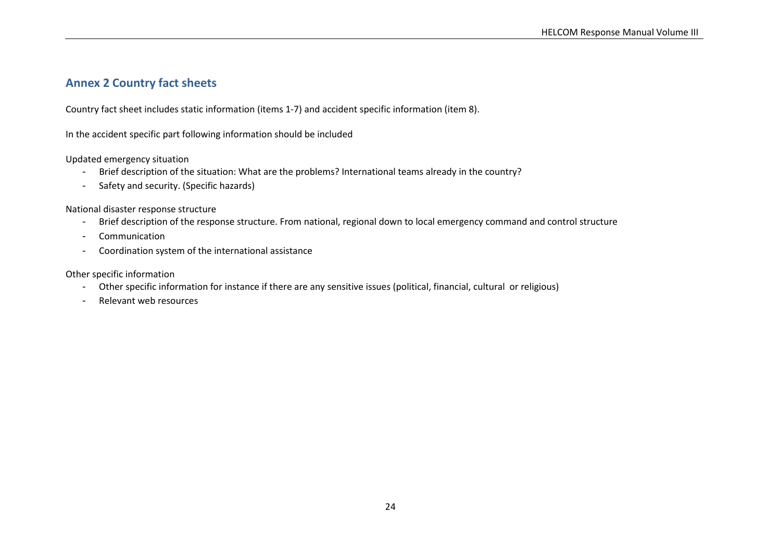### **Annex 2 Country fact sheets**

Country fact sheet includes static information (items 1-7) and accident specific information (item 8).

In the accident specific part following information should be included

Updated emergency situation

- Brief description of the situation: What are the problems? International teams already in the country?
- Safety and security. (Specific hazards)

National disaster response structure

- Brief description of the response structure. From national, regional down to local emergency command and control structure
- Communication
- Coordination system of the international assistance

<span id="page-26-0"></span>Other specific information

- Other specific information for instance if there are any sensitive issues (political, financial, cultural or religious)
- Relevant web resources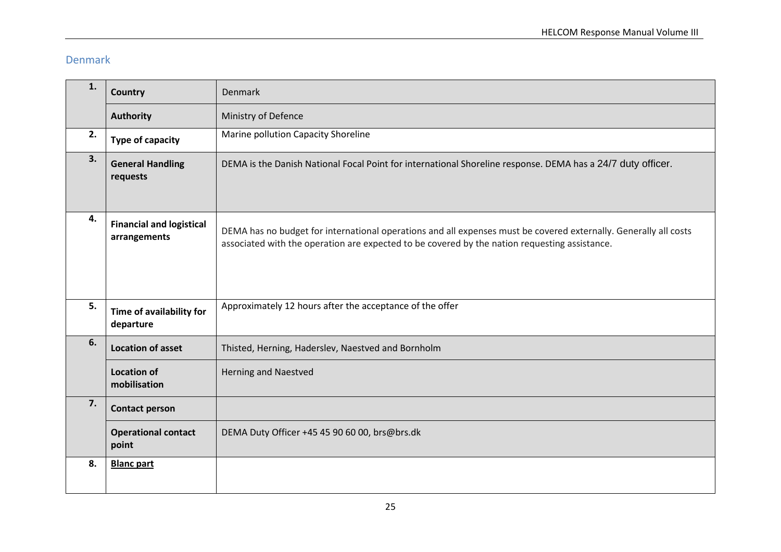# Denmark

| 1. | <b>Country</b>                                  | Denmark                                                                                                                                                                                                           |  |
|----|-------------------------------------------------|-------------------------------------------------------------------------------------------------------------------------------------------------------------------------------------------------------------------|--|
|    | <b>Authority</b>                                | Ministry of Defence                                                                                                                                                                                               |  |
| 2. | Type of capacity                                | Marine pollution Capacity Shoreline                                                                                                                                                                               |  |
| 3. | <b>General Handling</b><br>requests             | DEMA is the Danish National Focal Point for international Shoreline response. DEMA has a 24/7 duty officer.                                                                                                       |  |
| 4. | <b>Financial and logistical</b><br>arrangements | DEMA has no budget for international operations and all expenses must be covered externally. Generally all costs<br>associated with the operation are expected to be covered by the nation requesting assistance. |  |
| 5. | Time of availability for<br>departure           | Approximately 12 hours after the acceptance of the offer                                                                                                                                                          |  |
| 6. | <b>Location of asset</b>                        | Thisted, Herning, Haderslev, Naestved and Bornholm                                                                                                                                                                |  |
|    | <b>Location of</b><br>mobilisation              | <b>Herning and Naestved</b>                                                                                                                                                                                       |  |
| 7. | <b>Contact person</b>                           |                                                                                                                                                                                                                   |  |
|    | <b>Operational contact</b><br>point             | DEMA Duty Officer +45 45 90 60 00, brs@brs.dk                                                                                                                                                                     |  |
| 8. | <b>Blanc part</b>                               |                                                                                                                                                                                                                   |  |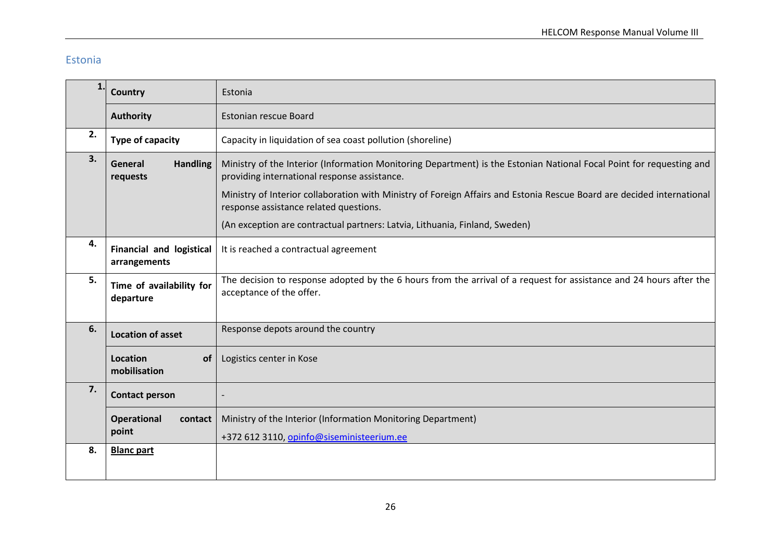### Estonia

| $\mathbf{1}$ | Country                                                                                                                                                                                                        | Estonia                                                                                                                                                          |  |
|--------------|----------------------------------------------------------------------------------------------------------------------------------------------------------------------------------------------------------------|------------------------------------------------------------------------------------------------------------------------------------------------------------------|--|
|              | <b>Authority</b>                                                                                                                                                                                               | <b>Estonian rescue Board</b>                                                                                                                                     |  |
| 2.           | Type of capacity                                                                                                                                                                                               | Capacity in liquidation of sea coast pollution (shoreline)                                                                                                       |  |
| 3.           | Ministry of the Interior (Information Monitoring Department) is the Estonian National Focal Point for requesting and<br><b>Handling</b><br>General<br>providing international response assistance.<br>requests |                                                                                                                                                                  |  |
|              |                                                                                                                                                                                                                | Ministry of Interior collaboration with Ministry of Foreign Affairs and Estonia Rescue Board are decided international<br>response assistance related questions. |  |
|              |                                                                                                                                                                                                                | (An exception are contractual partners: Latvia, Lithuania, Finland, Sweden)                                                                                      |  |
| 4.           | <b>Financial and logistical</b><br>arrangements                                                                                                                                                                | It is reached a contractual agreement                                                                                                                            |  |
| 5.           | Time of availability for<br>departure                                                                                                                                                                          | The decision to response adopted by the 6 hours from the arrival of a request for assistance and 24 hours after the<br>acceptance of the offer.                  |  |
| 6.           | <b>Location of asset</b>                                                                                                                                                                                       | Response depots around the country                                                                                                                               |  |
|              | <b>Location</b><br>of<br>mobilisation                                                                                                                                                                          | Logistics center in Kose                                                                                                                                         |  |
| 7.           | <b>Contact person</b>                                                                                                                                                                                          |                                                                                                                                                                  |  |
|              | <b>Operational</b><br>contact<br>point                                                                                                                                                                         | Ministry of the Interior (Information Monitoring Department)<br>+372 612 3110, opinfo@siseministeerium.ee                                                        |  |
| 8.           | <b>Blanc part</b>                                                                                                                                                                                              |                                                                                                                                                                  |  |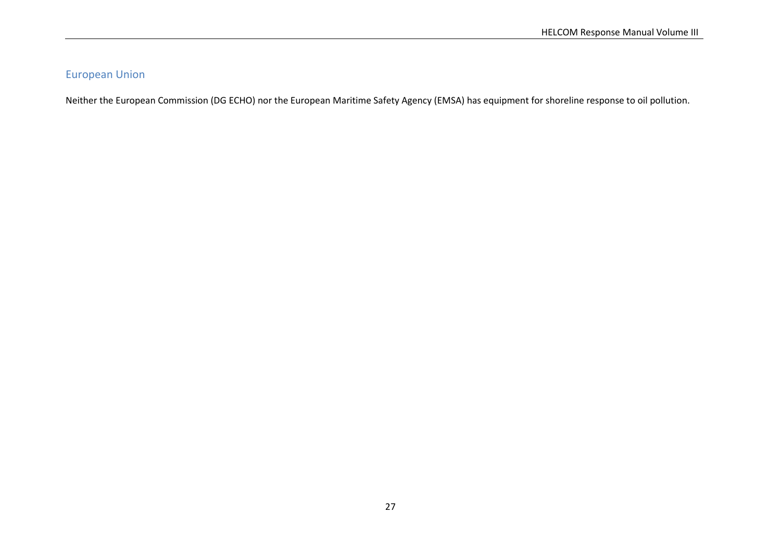### European Union

Neither the European Commission (DG ECHO) nor the European Maritime Safety Agency (EMSA) has equipment for shoreline response to oil pollution.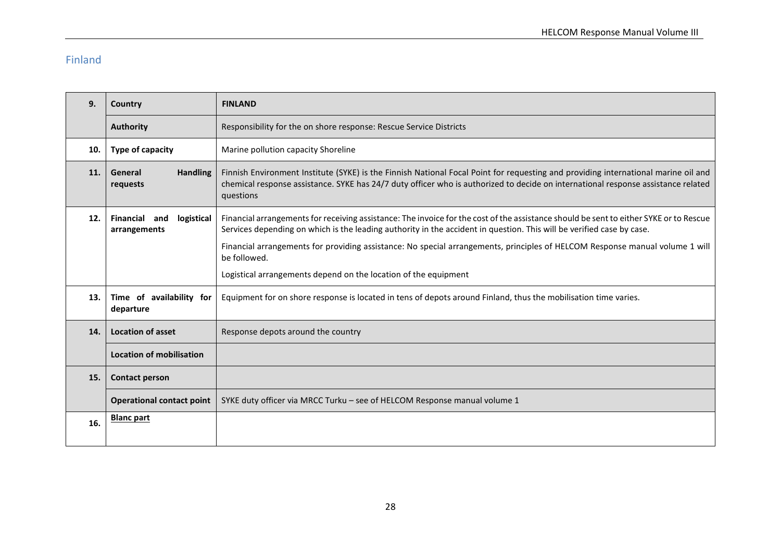# Finland

| 9.  | Country                                     | <b>FINLAND</b>                                                                                                                                                                                                                                                                       |  |
|-----|---------------------------------------------|--------------------------------------------------------------------------------------------------------------------------------------------------------------------------------------------------------------------------------------------------------------------------------------|--|
|     | <b>Authority</b>                            | Responsibility for the on shore response: Rescue Service Districts                                                                                                                                                                                                                   |  |
| 10. | Type of capacity                            | Marine pollution capacity Shoreline                                                                                                                                                                                                                                                  |  |
| 11. | <b>Handling</b><br>General<br>requests      | Finnish Environment Institute (SYKE) is the Finnish National Focal Point for requesting and providing international marine oil and<br>chemical response assistance. SYKE has 24/7 duty officer who is authorized to decide on international response assistance related<br>questions |  |
| 12. | Financial and<br>logistical<br>arrangements | Financial arrangements for receiving assistance: The invoice for the cost of the assistance should be sent to either SYKE or to Rescue<br>Services depending on which is the leading authority in the accident in question. This will be verified case by case.                      |  |
|     |                                             | Financial arrangements for providing assistance: No special arrangements, principles of HELCOM Response manual volume 1 will<br>be followed.                                                                                                                                         |  |
|     |                                             | Logistical arrangements depend on the location of the equipment                                                                                                                                                                                                                      |  |
| 13. | Time of availability for<br>departure       | Equipment for on shore response is located in tens of depots around Finland, thus the mobilisation time varies.                                                                                                                                                                      |  |
| 14. | <b>Location of asset</b>                    | Response depots around the country                                                                                                                                                                                                                                                   |  |
|     | <b>Location of mobilisation</b>             |                                                                                                                                                                                                                                                                                      |  |
| 15. | <b>Contact person</b>                       |                                                                                                                                                                                                                                                                                      |  |
|     | <b>Operational contact point</b>            | SYKE duty officer via MRCC Turku - see of HELCOM Response manual volume 1                                                                                                                                                                                                            |  |
| 16. | <b>Blanc part</b>                           |                                                                                                                                                                                                                                                                                      |  |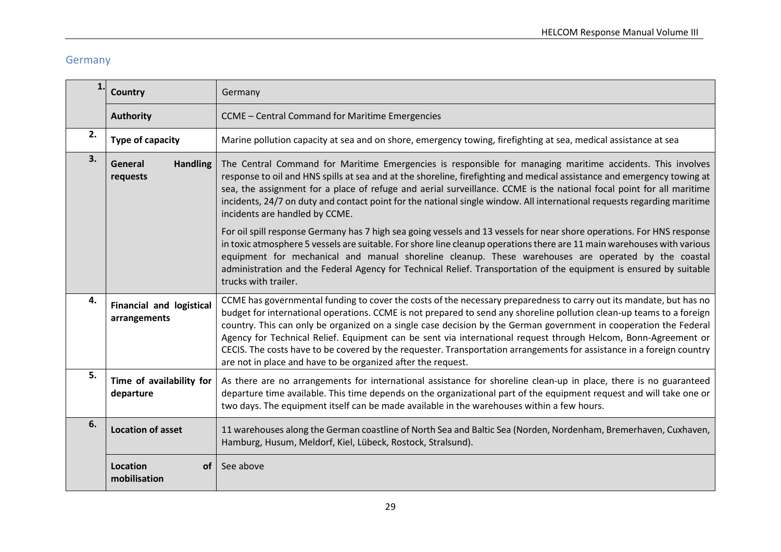# Germany

|    | Country                                                                                                                                                                                                                                                                                                                                                                                                                                                                                                                                                              | Germany                                                                                                                                                                                                                                                                                                                                                                                                                                                                                                                                                                                                                                                                      |  |
|----|----------------------------------------------------------------------------------------------------------------------------------------------------------------------------------------------------------------------------------------------------------------------------------------------------------------------------------------------------------------------------------------------------------------------------------------------------------------------------------------------------------------------------------------------------------------------|------------------------------------------------------------------------------------------------------------------------------------------------------------------------------------------------------------------------------------------------------------------------------------------------------------------------------------------------------------------------------------------------------------------------------------------------------------------------------------------------------------------------------------------------------------------------------------------------------------------------------------------------------------------------------|--|
|    | <b>Authority</b>                                                                                                                                                                                                                                                                                                                                                                                                                                                                                                                                                     | CCME - Central Command for Maritime Emergencies                                                                                                                                                                                                                                                                                                                                                                                                                                                                                                                                                                                                                              |  |
| 2. | Type of capacity                                                                                                                                                                                                                                                                                                                                                                                                                                                                                                                                                     | Marine pollution capacity at sea and on shore, emergency towing, firefighting at sea, medical assistance at sea                                                                                                                                                                                                                                                                                                                                                                                                                                                                                                                                                              |  |
| 3. | The Central Command for Maritime Emergencies is responsible for managing maritime accidents. This involves<br><b>Handling</b><br>General<br>response to oil and HNS spills at sea and at the shoreline, firefighting and medical assistance and emergency towing at<br>requests<br>sea, the assignment for a place of refuge and aerial surveillance. CCME is the national focal point for all maritime<br>incidents, 24/7 on duty and contact point for the national single window. All international requests regarding maritime<br>incidents are handled by CCME. |                                                                                                                                                                                                                                                                                                                                                                                                                                                                                                                                                                                                                                                                              |  |
|    |                                                                                                                                                                                                                                                                                                                                                                                                                                                                                                                                                                      | For oil spill response Germany has 7 high sea going vessels and 13 vessels for near shore operations. For HNS response<br>in toxic atmosphere 5 vessels are suitable. For shore line cleanup operations there are 11 main warehouses with various<br>equipment for mechanical and manual shoreline cleanup. These warehouses are operated by the coastal<br>administration and the Federal Agency for Technical Relief. Transportation of the equipment is ensured by suitable<br>trucks with trailer.                                                                                                                                                                       |  |
| 4. | <b>Financial and logistical</b><br>arrangements                                                                                                                                                                                                                                                                                                                                                                                                                                                                                                                      | CCME has governmental funding to cover the costs of the necessary preparedness to carry out its mandate, but has no<br>budget for international operations. CCME is not prepared to send any shoreline pollution clean-up teams to a foreign<br>country. This can only be organized on a single case decision by the German government in cooperation the Federal<br>Agency for Technical Relief. Equipment can be sent via international request through Helcom, Bonn-Agreement or<br>CECIS. The costs have to be covered by the requester. Transportation arrangements for assistance in a foreign country<br>are not in place and have to be organized after the request. |  |
| 5. | Time of availability for<br>departure                                                                                                                                                                                                                                                                                                                                                                                                                                                                                                                                | As there are no arrangements for international assistance for shoreline clean-up in place, there is no guaranteed<br>departure time available. This time depends on the organizational part of the equipment request and will take one or<br>two days. The equipment itself can be made available in the warehouses within a few hours.                                                                                                                                                                                                                                                                                                                                      |  |
| 6. | <b>Location of asset</b>                                                                                                                                                                                                                                                                                                                                                                                                                                                                                                                                             | 11 warehouses along the German coastline of North Sea and Baltic Sea (Norden, Nordenham, Bremerhaven, Cuxhaven,<br>Hamburg, Husum, Meldorf, Kiel, Lübeck, Rostock, Stralsund).                                                                                                                                                                                                                                                                                                                                                                                                                                                                                               |  |
|    | Location<br>οf<br>mobilisation                                                                                                                                                                                                                                                                                                                                                                                                                                                                                                                                       | See above                                                                                                                                                                                                                                                                                                                                                                                                                                                                                                                                                                                                                                                                    |  |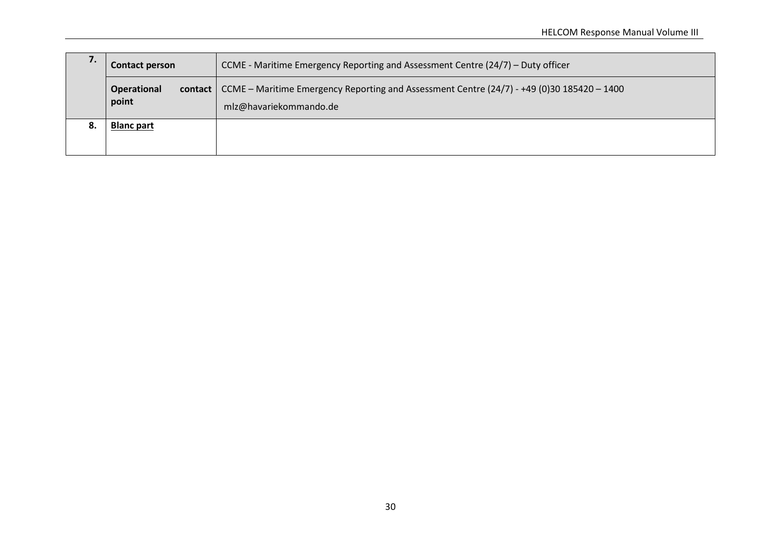| 7.                                                                                                                                                              | CCME - Maritime Emergency Reporting and Assessment Centre (24/7) – Duty officer<br><b>Contact person</b> |  |
|-----------------------------------------------------------------------------------------------------------------------------------------------------------------|----------------------------------------------------------------------------------------------------------|--|
| contact   CCME – Maritime Emergency Reporting and Assessment Centre $(24/7)$ - +49 (0)30 185420 – 1400<br><b>Operational</b><br>point<br>mlz@havariekommando.de |                                                                                                          |  |
| 8.                                                                                                                                                              | <b>Blanc part</b>                                                                                        |  |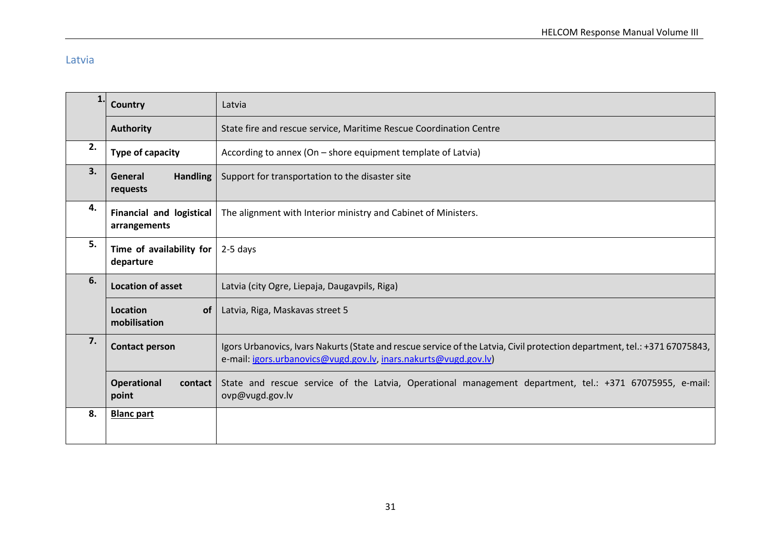### Latvia

|    | Country                                         | Latvia                                                                                                                                                                                         |  |
|----|-------------------------------------------------|------------------------------------------------------------------------------------------------------------------------------------------------------------------------------------------------|--|
|    | <b>Authority</b>                                | State fire and rescue service, Maritime Rescue Coordination Centre                                                                                                                             |  |
| 2. | Type of capacity                                | According to annex (On - shore equipment template of Latvia)                                                                                                                                   |  |
| 3. | <b>Handling</b><br>General<br>requests          | Support for transportation to the disaster site                                                                                                                                                |  |
| 4. | <b>Financial and logistical</b><br>arrangements | The alignment with Interior ministry and Cabinet of Ministers.                                                                                                                                 |  |
| 5. | Time of availability for<br>departure           | $2-5$ days                                                                                                                                                                                     |  |
| 6. | <b>Location of asset</b>                        | Latvia (city Ogre, Liepaja, Daugavpils, Riga)                                                                                                                                                  |  |
|    | Location<br>of<br>mobilisation                  | Latvia, Riga, Maskavas street 5                                                                                                                                                                |  |
| 7. | <b>Contact person</b>                           | Igors Urbanovics, Ivars Nakurts (State and rescue service of the Latvia, Civil protection department, tel.: +371 67075843,<br>e-mail: igors.urbanovics@vugd.gov.lv, inars.nakurts@vugd.gov.lv) |  |
|    | Operational<br>contact<br>point                 | State and rescue service of the Latvia, Operational management department, tel.: +371 67075955, e-mail:<br>ovp@vugd.gov.lv                                                                     |  |
| 8. | <b>Blanc part</b>                               |                                                                                                                                                                                                |  |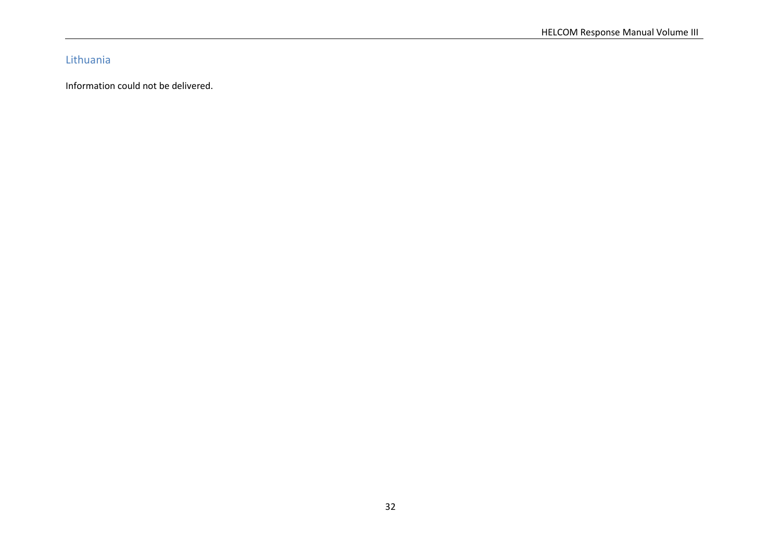# Lithuania

Information could not be delivered.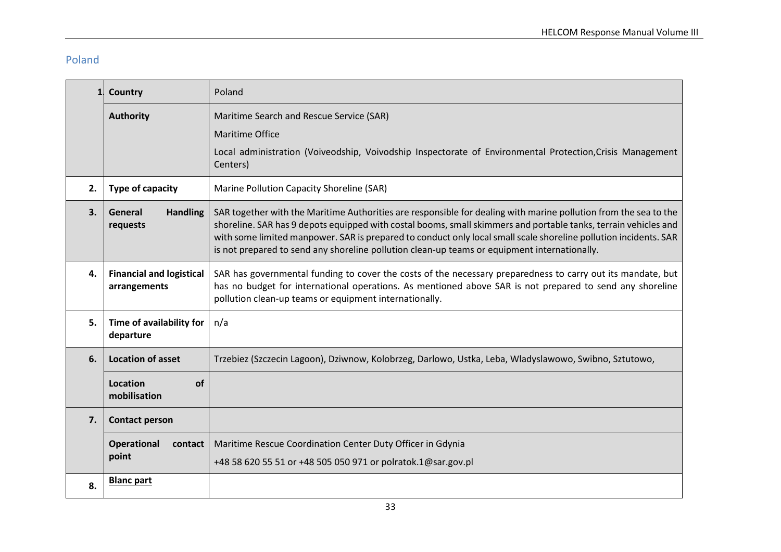# Poland

| $\mathbf{1}$ | <b>Country</b>                                  | Poland                                                                                                                                                                                                                                                                                                                                                                                                                                                  |  |
|--------------|-------------------------------------------------|---------------------------------------------------------------------------------------------------------------------------------------------------------------------------------------------------------------------------------------------------------------------------------------------------------------------------------------------------------------------------------------------------------------------------------------------------------|--|
|              | <b>Authority</b>                                | Maritime Search and Rescue Service (SAR)                                                                                                                                                                                                                                                                                                                                                                                                                |  |
|              |                                                 | <b>Maritime Office</b>                                                                                                                                                                                                                                                                                                                                                                                                                                  |  |
|              |                                                 | Local administration (Voiveodship, Voivodship Inspectorate of Environmental Protection, Crisis Management<br>Centers)                                                                                                                                                                                                                                                                                                                                   |  |
| 2.           | Type of capacity                                | Marine Pollution Capacity Shoreline (SAR)                                                                                                                                                                                                                                                                                                                                                                                                               |  |
| 3.           | <b>Handling</b><br>General<br>requests          | SAR together with the Maritime Authorities are responsible for dealing with marine pollution from the sea to the<br>shoreline. SAR has 9 depots equipped with costal booms, small skimmers and portable tanks, terrain vehicles and<br>with some limited manpower. SAR is prepared to conduct only local small scale shoreline pollution incidents. SAR<br>is not prepared to send any shoreline pollution clean-up teams or equipment internationally. |  |
| 4.           | <b>Financial and logistical</b><br>arrangements | SAR has governmental funding to cover the costs of the necessary preparedness to carry out its mandate, but<br>has no budget for international operations. As mentioned above SAR is not prepared to send any shoreline<br>pollution clean-up teams or equipment internationally.                                                                                                                                                                       |  |
| 5.           | Time of availability for<br>departure           | n/a                                                                                                                                                                                                                                                                                                                                                                                                                                                     |  |
| 6.           | <b>Location of asset</b>                        | Trzebiez (Szczecin Lagoon), Dziwnow, Kolobrzeg, Darlowo, Ustka, Leba, Wladyslawowo, Swibno, Sztutowo,                                                                                                                                                                                                                                                                                                                                                   |  |
|              | Location<br><b>of</b><br>mobilisation           |                                                                                                                                                                                                                                                                                                                                                                                                                                                         |  |
| 7.           | <b>Contact person</b>                           |                                                                                                                                                                                                                                                                                                                                                                                                                                                         |  |
|              | Operational<br>contact                          | Maritime Rescue Coordination Center Duty Officer in Gdynia                                                                                                                                                                                                                                                                                                                                                                                              |  |
|              | point                                           | +48 58 620 55 51 or +48 505 050 971 or polratok.1@sar.gov.pl                                                                                                                                                                                                                                                                                                                                                                                            |  |
| 8.           | <b>Blanc part</b>                               |                                                                                                                                                                                                                                                                                                                                                                                                                                                         |  |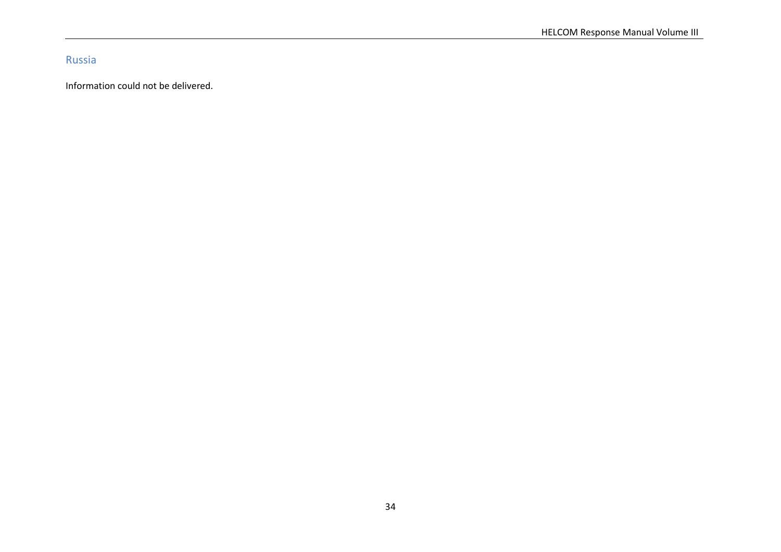Russia

Information could not be delivered.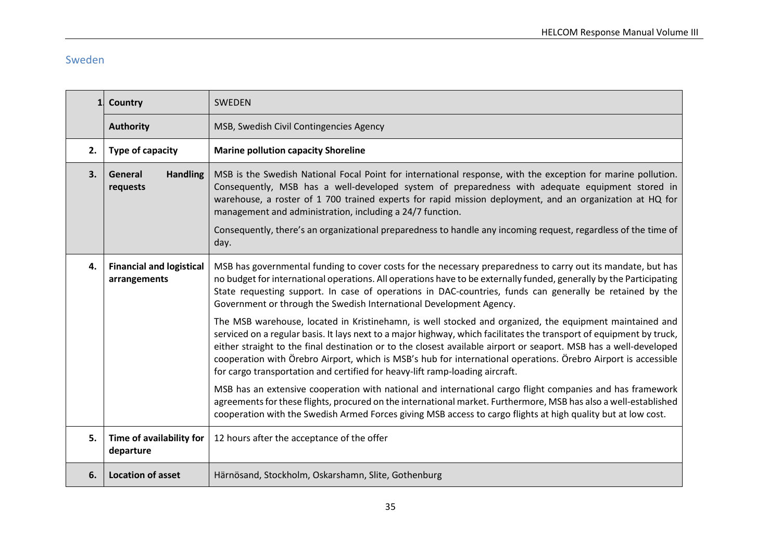# Sweden

| $\mathbf{1}$                                          | Country                                                                                                                                                                                                                                                                                                                                                                                                                                                                                                                                                | <b>SWEDEN</b>                                                                                                                                                                                                                                                                                                                                                                                                          |  |
|-------------------------------------------------------|--------------------------------------------------------------------------------------------------------------------------------------------------------------------------------------------------------------------------------------------------------------------------------------------------------------------------------------------------------------------------------------------------------------------------------------------------------------------------------------------------------------------------------------------------------|------------------------------------------------------------------------------------------------------------------------------------------------------------------------------------------------------------------------------------------------------------------------------------------------------------------------------------------------------------------------------------------------------------------------|--|
|                                                       | <b>Authority</b>                                                                                                                                                                                                                                                                                                                                                                                                                                                                                                                                       | MSB, Swedish Civil Contingencies Agency                                                                                                                                                                                                                                                                                                                                                                                |  |
| 2.                                                    | Type of capacity                                                                                                                                                                                                                                                                                                                                                                                                                                                                                                                                       | <b>Marine pollution capacity Shoreline</b>                                                                                                                                                                                                                                                                                                                                                                             |  |
| 3.                                                    | MSB is the Swedish National Focal Point for international response, with the exception for marine pollution.<br><b>Handling</b><br>General<br>Consequently, MSB has a well-developed system of preparedness with adequate equipment stored in<br>requests<br>warehouse, a roster of 1 700 trained experts for rapid mission deployment, and an organization at HQ for<br>management and administration, including a 24/7 function.                                                                                                                     |                                                                                                                                                                                                                                                                                                                                                                                                                        |  |
|                                                       |                                                                                                                                                                                                                                                                                                                                                                                                                                                                                                                                                        | Consequently, there's an organizational preparedness to handle any incoming request, regardless of the time of<br>day.                                                                                                                                                                                                                                                                                                 |  |
| 4.<br><b>Financial and logistical</b><br>arrangements |                                                                                                                                                                                                                                                                                                                                                                                                                                                                                                                                                        | MSB has governmental funding to cover costs for the necessary preparedness to carry out its mandate, but has<br>no budget for international operations. All operations have to be externally funded, generally by the Participating<br>State requesting support. In case of operations in DAC-countries, funds can generally be retained by the<br>Government or through the Swedish International Development Agency. |  |
|                                                       | The MSB warehouse, located in Kristinehamn, is well stocked and organized, the equipment maintained and<br>serviced on a regular basis. It lays next to a major highway, which facilitates the transport of equipment by truck,<br>either straight to the final destination or to the closest available airport or seaport. MSB has a well-developed<br>cooperation with Örebro Airport, which is MSB's hub for international operations. Örebro Airport is accessible<br>for cargo transportation and certified for heavy-lift ramp-loading aircraft. |                                                                                                                                                                                                                                                                                                                                                                                                                        |  |
|                                                       |                                                                                                                                                                                                                                                                                                                                                                                                                                                                                                                                                        | MSB has an extensive cooperation with national and international cargo flight companies and has framework<br>agreements for these flights, procured on the international market. Furthermore, MSB has also a well-established<br>cooperation with the Swedish Armed Forces giving MSB access to cargo flights at high quality but at low cost.                                                                         |  |
| 5.                                                    | Time of availability for<br>departure                                                                                                                                                                                                                                                                                                                                                                                                                                                                                                                  | 12 hours after the acceptance of the offer                                                                                                                                                                                                                                                                                                                                                                             |  |
| 6.                                                    | <b>Location of asset</b>                                                                                                                                                                                                                                                                                                                                                                                                                                                                                                                               | Härnösand, Stockholm, Oskarshamn, Slite, Gothenburg                                                                                                                                                                                                                                                                                                                                                                    |  |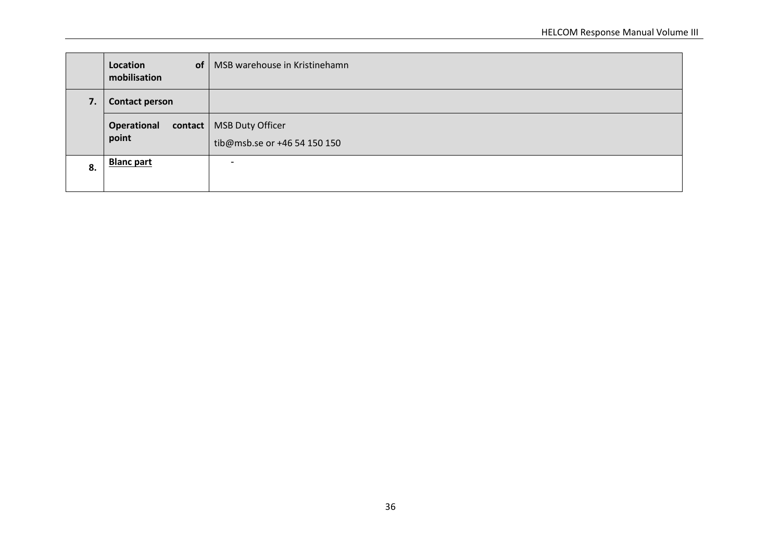|    | of<br>Location<br>mobilisation | MSB warehouse in Kristinehamn                              |
|----|--------------------------------|------------------------------------------------------------|
| 7. | <b>Contact person</b>          |                                                            |
|    | Operational<br>point           | contact   MSB Duty Officer<br>tib@msb.se or +46 54 150 150 |
| 8. | <b>Blanc part</b>              | -                                                          |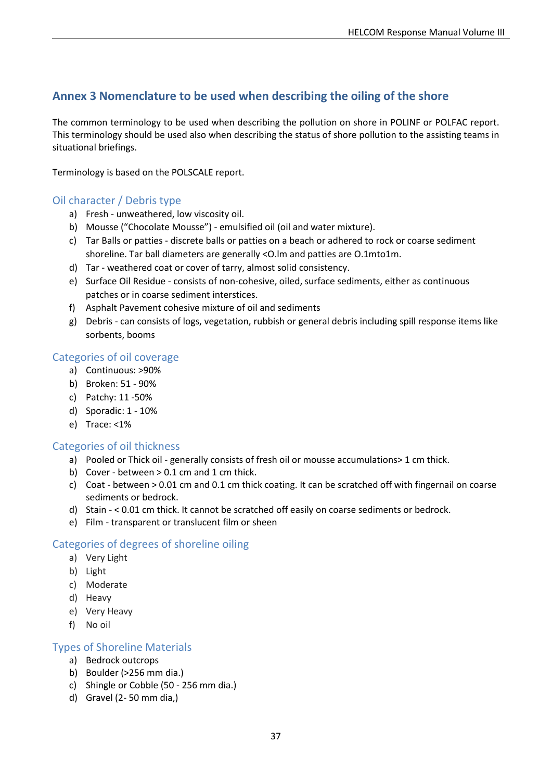# <span id="page-39-0"></span>**Annex 3 Nomenclature to be used when describing the oiling of the shore**

The common terminology to be used when describing the pollution on shore in POLINF or POLFAC report. This terminology should be used also when describing the status of shore pollution to the assisting teams in situational briefings.

Terminology is based on the POLSCALE report.

#### Oil character / Debris type

- a) Fresh unweathered, low viscosity oil.
- b) Mousse ("Chocolate Mousse") emulsified oil (oil and water mixture).
- c) Tar Balls or patties discrete balls or patties on a beach or adhered to rock or coarse sediment shoreline. Tar ball diameters are generally <O.lm and patties are O.1mto1m.
- d) Tar weathered coat or cover of tarry, almost solid consistency.
- e) Surface Oil Residue consists of non-cohesive, oiled, surface sediments, either as continuous patches or in coarse sediment interstices.
- f) Asphalt Pavement cohesive mixture of oil and sediments
- g) Debris can consists of logs, vegetation, rubbish or general debris including spill response items like sorbents, booms

#### Categories of oil coverage

- a) Continuous: >90%
- b) Broken: 51 90%
- c) Patchy: 11 -50%
- d) Sporadic: 1 10%
- e) Trace: <1%

#### Categories of oil thickness

- a) Pooled or Thick oil generally consists of fresh oil or mousse accumulations> 1 cm thick.
- b) Cover between  $> 0.1$  cm and 1 cm thick.
- c) Coat between > 0.01 cm and 0.1 cm thick coating. It can be scratched off with fingernail on coarse sediments or bedrock.
- d) Stain < 0.01 cm thick. It cannot be scratched off easily on coarse sediments or bedrock.
- e) Film transparent or translucent film or sheen

### Categories of degrees of shoreline oiling

- a) Very Light
- b) Light
- c) Moderate
- d) Heavy
- e) Very Heavy
- f) No oil

#### Types of Shoreline Materials

- a) Bedrock outcrops
- b) Boulder (>256 mm dia.)
- c) Shingle or Cobble (50 256 mm dia.)
- d) Gravel (2- 50 mm dia,)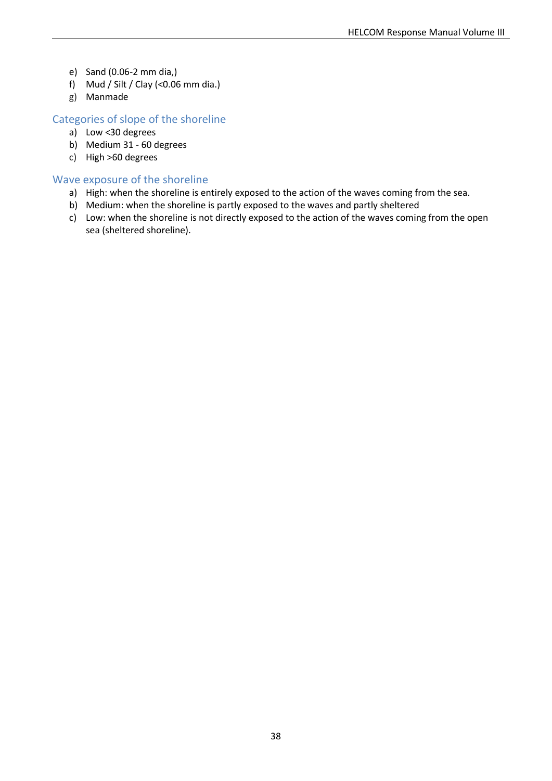- e) Sand (0.06-2 mm dia,)
- f) Mud / Silt / Clay (<0.06 mm dia.)
- g) Manmade

#### Categories of slope of the shoreline

- a) Low <30 degrees
- b) Medium 31 60 degrees
- c) High >60 degrees

#### Wave exposure of the shoreline

- a) High: when the shoreline is entirely exposed to the action of the waves coming from the sea.
- b) Medium: when the shoreline is partly exposed to the waves and partly sheltered
- c) Low: when the shoreline is not directly exposed to the action of the waves coming from the open sea (sheltered shoreline).